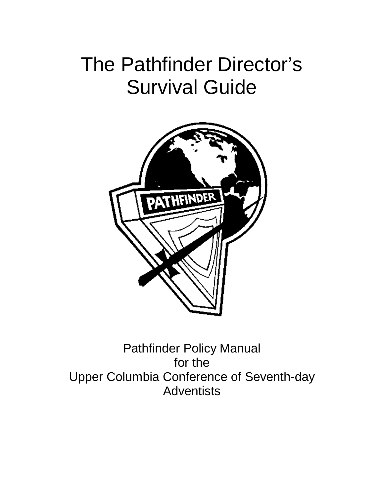# The Pathfinder Director's Survival Guide



Pathfinder Policy Manual for the Upper Columbia Conference of Seventh-day **Adventists**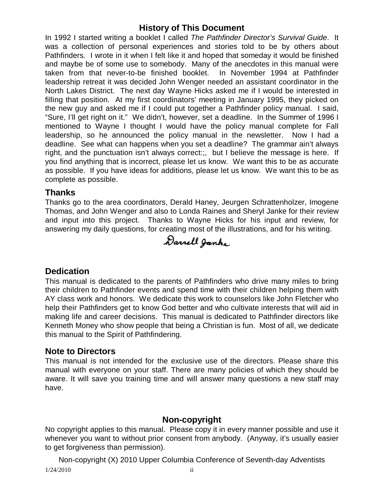## **History of This Document**

In 1992 I started writing a booklet I called *The Pathfinder Director's Survival Guide*. It was a collection of personal experiences and stories told to be by others about Pathfinders. I wrote in it when I felt like it and hoped that someday it would be finished and maybe be of some use to somebody. Many of the anecdotes in this manual were taken from that never-to-be finished booklet. In November 1994 at Pathfinder leadership retreat it was decided John Wenger needed an assistant coordinator in the North Lakes District. The next day Wayne Hicks asked me if I would be interested in filling that position. At my first coordinators' meeting in January 1995, they picked on the new guy and asked me if I could put together a Pathfinder policy manual. I said, "Sure, I'll get right on it." We didn't, however, set a deadline. In the Summer of 1996 I mentioned to Wayne I thought I would have the policy manual complete for Fall leadership, so he announced the policy manual in the newsletter. Now I had a deadline. See what can happens when you set a deadline? The grammar ain't always right, and the punctuation isn't always correct:;, but I believe the message is here. If you find anything that is incorrect, please let us know. We want this to be as accurate as possible. If you have ideas for additions, please let us know. We want this to be as complete as possible.

#### **Thanks**

Thanks go to the area coordinators, Derald Haney, Jeurgen Schrattenholzer, Imogene Thomas, and John Wenger and also to Londa Raines and Sheryl Janke for their review and input into this project. Thanks to Wayne Hicks for his input and review, for answering my daily questions, for creating most of the illustrations, and for his writing.

Darrell Janke

## **Dedication**

This manual is dedicated to the parents of Pathfinders who drive many miles to bring their children to Pathfinder events and spend time with their children helping them with AY class work and honors. We dedicate this work to counselors like John Fletcher who help their Pathfinders get to know God better and who cultivate interests that will aid in making life and career decisions. This manual is dedicated to Pathfinder directors like Kenneth Money who show people that being a Christian is fun. Most of all, we dedicate this manual to the Spirit of Pathfindering.

#### **Note to Directors**

This manual is not intended for the exclusive use of the directors. Please share this manual with everyone on your staff. There are many policies of which they should be aware. It will save you training time and will answer many questions a new staff may have.

## **Non-copyright**

No copyright applies to this manual. Please copy it in every manner possible and use it whenever you want to without prior consent from anybody. (Anyway, it's usually easier to get forgiveness than permission).

1/24/2010 ii Non-copyright (X) 2010 Upper Columbia Conference of Seventh-day Adventists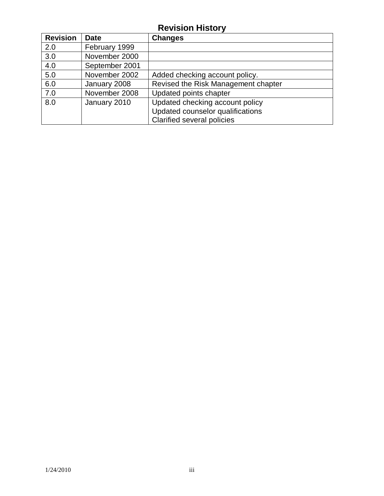## **Revision History**

| <b>Revision</b> | <b>Date</b>    | <b>Changes</b>                      |
|-----------------|----------------|-------------------------------------|
| 2.0             | February 1999  |                                     |
| 3.0             | November 2000  |                                     |
| 4.0             | September 2001 |                                     |
| 5.0             | November 2002  | Added checking account policy.      |
| 6.0             | January 2008   | Revised the Risk Management chapter |
| 7.0             | November 2008  | Updated points chapter              |
| 8.0             | January 2010   | Updated checking account policy     |
|                 |                | Updated counselor qualifications    |
|                 |                | <b>Clarified several policies</b>   |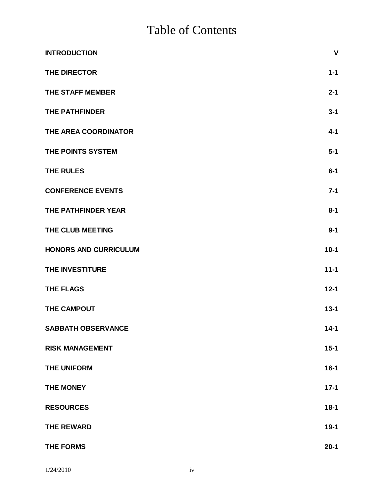# Table of Contents

| <b>INTRODUCTION</b>          | $\mathbf{V}$ |
|------------------------------|--------------|
| THE DIRECTOR                 | $1 - 1$      |
| THE STAFF MEMBER             | $2 - 1$      |
| <b>THE PATHFINDER</b>        | $3 - 1$      |
| THE AREA COORDINATOR         | $4 - 1$      |
| THE POINTS SYSTEM            | $5-1$        |
| <b>THE RULES</b>             | $6-1$        |
| <b>CONFERENCE EVENTS</b>     | $7 - 1$      |
| THE PATHFINDER YEAR          | $8 - 1$      |
| THE CLUB MEETING             | $9 - 1$      |
| <b>HONORS AND CURRICULUM</b> | $10-1$       |
| THE INVESTITURE              | $11 - 1$     |
| THE FLAGS                    | $12 - 1$     |
| THE CAMPOUT                  | $13 - 1$     |
| <b>SABBATH OBSERVANCE</b>    | $14 - 1$     |
| <b>RISK MANAGEMENT</b>       | $15 - 1$     |
| <b>THE UNIFORM</b>           | $16 - 1$     |
| <b>THE MONEY</b>             | $17-1$       |
| <b>RESOURCES</b>             | $18 - 1$     |
| <b>THE REWARD</b>            | $19-1$       |
| <b>THE FORMS</b>             | $20 - 1$     |

1/24/2010 iv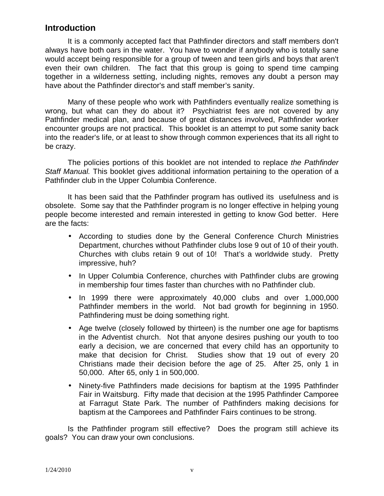## **Introduction**

It is a commonly accepted fact that Pathfinder directors and staff members don't always have both oars in the water. You have to wonder if anybody who is totally sane would accept being responsible for a group of tween and teen girls and boys that aren't even their own children. The fact that this group is going to spend time camping together in a wilderness setting, including nights, removes any doubt a person may have about the Pathfinder director's and staff member's sanity.

Many of these people who work with Pathfinders eventually realize something is wrong, but what can they do about it? Psychiatrist fees are not covered by any Pathfinder medical plan, and because of great distances involved, Pathfinder worker encounter groups are not practical. This booklet is an attempt to put some sanity back into the reader's life, or at least to show through common experiences that its all right to be crazy.

The policies portions of this booklet are not intended to replace *the Pathfinder Staff Manual.* This booklet gives additional information pertaining to the operation of a Pathfinder club in the Upper Columbia Conference.

It has been said that the Pathfinder program has outlived its usefulness and is obsolete. Some say that the Pathfinder program is no longer effective in helping young people become interested and remain interested in getting to know God better. Here are the facts:

- According to studies done by the General Conference Church Ministries Department, churches without Pathfinder clubs lose 9 out of 10 of their youth. Churches with clubs retain 9 out of 10! That's a worldwide study. Pretty impressive, huh?
- In Upper Columbia Conference, churches with Pathfinder clubs are growing in membership four times faster than churches with no Pathfinder club.
- In 1999 there were approximately 40,000 clubs and over 1,000,000 Pathfinder members in the world. Not bad growth for beginning in 1950. Pathfindering must be doing something right.
- Age twelve (closely followed by thirteen) is the number one age for baptisms in the Adventist church. Not that anyone desires pushing our youth to too early a decision, we are concerned that every child has an opportunity to make that decision for Christ. Studies show that 19 out of every 20 Christians made their decision before the age of 25. After 25, only 1 in 50,000. After 65, only 1 in 500,000.
- Ninety-five Pathfinders made decisions for baptism at the 1995 Pathfinder Fair in Waitsburg. Fifty made that decision at the 1995 Pathfinder Camporee at Farragut State Park. The number of Pathfinders making decisions for baptism at the Camporees and Pathfinder Fairs continues to be strong.

Is the Pathfinder program still effective? Does the program still achieve its goals? You can draw your own conclusions.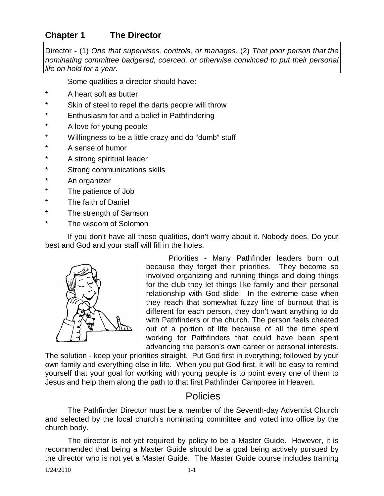## **Chapter 1 The Director**

Director **-** (1) *One that supervises, controls, or manages*. (2) *That poor person that the nominating committee badgered, coerced, or otherwise convinced to put their personal life on hold for a year.*

Some qualities a director should have:

- A heart soft as butter
- \* Skin of steel to repel the darts people will throw
- \* Enthusiasm for and a belief in Pathfindering
- \* A love for young people
- \* Willingness to be a little crazy and do "dumb" stuff
- \* A sense of humor
- \* A strong spiritual leader
- \* Strong communications skills
- \* An organizer
- \* The patience of Job
- \* The faith of Daniel
- \* The strength of Samson
- \* The wisdom of Solomon

If you don't have all these qualities, don't worry about it. Nobody does. Do your best and God and your staff will fill in the holes.



Priorities - Many Pathfinder leaders burn out because they forget their priorities. They become so involved organizing and running things and doing things for the club they let things like family and their personal relationship with God slide. In the extreme case when they reach that somewhat fuzzy line of burnout that is different for each person, they don't want anything to do with Pathfinders or the church. The person feels cheated out of a portion of life because of all the time spent working for Pathfinders that could have been spent advancing the person's own career or personal interests.

The solution - keep your priorities straight. Put God first in everything; followed by your own family and everything else in life. When you put God first, it will be easy to remind yourself that your goal for working with young people is to point every one of them to Jesus and help them along the path to that first Pathfinder Camporee in Heaven.

## Policies

The Pathfinder Director must be a member of the Seventh-day Adventist Church and selected by the local church's nominating committee and voted into office by the church body.

The director is not yet required by policy to be a Master Guide. However, it is recommended that being a Master Guide should be a goal being actively pursued by the director who is not yet a Master Guide. The Master Guide course includes training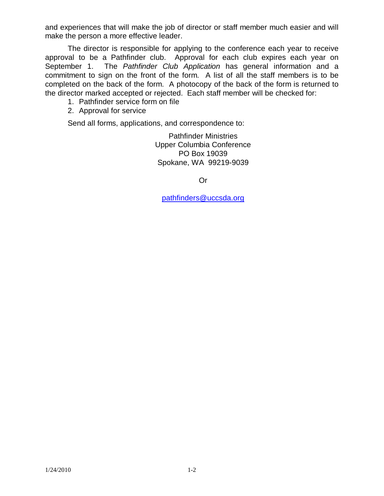and experiences that will make the job of director or staff member much easier and will make the person a more effective leader.

The director is responsible for applying to the conference each year to receive approval to be a Pathfinder club. Approval for each club expires each year on September 1. The *Pathfinder Club Application* has general information and a commitment to sign on the front of the form. A list of all the staff members is to be completed on the back of the form. A photocopy of the back of the form is returned to the director marked accepted or rejected. Each staff member will be checked for:

- 1. Pathfinder service form on file
- 2. Approval for service

Send all forms, applications, and correspondence to:

Pathfinder Ministries Upper Columbia Conference PO Box 19039 Spokane, WA 99219-9039

Or

[pathfinders@uccsda.org](mailto:pathfinders@uccsda.org)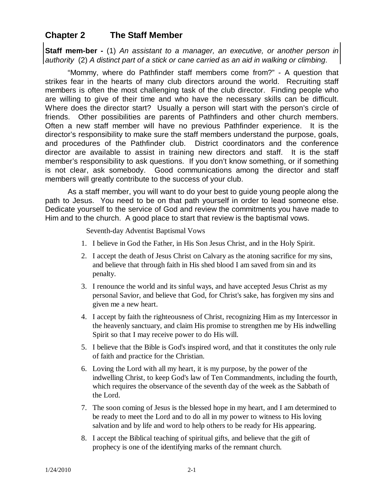## **Chapter 2 The Staff Member**

**Staff mem-ber -** (1) *An assistant to a manager, an executive, or another person in authority* (2) *A distinct part of a stick or cane carried as an aid in walking or climbing*.

"Mommy, where do Pathfinder staff members come from?" - A question that strikes fear in the hearts of many club directors around the world. Recruiting staff members is often the most challenging task of the club director. Finding people who are willing to give of their time and who have the necessary skills can be difficult. Where does the director start? Usually a person will start with the person's circle of friends. Other possibilities are parents of Pathfinders and other church members. Often a new staff member will have no previous Pathfinder experience. It is the director's responsibility to make sure the staff members understand the purpose, goals, and procedures of the Pathfinder club. District coordinators and the conference director are available to assist in training new directors and staff. It is the staff member's responsibility to ask questions. If you don't know something, or if something is not clear, ask somebody. Good communications among the director and staff members will greatly contribute to the success of your club.

As a staff member, you will want to do your best to guide young people along the path to Jesus. You need to be on that path yourself in order to lead someone else. Dedicate yourself to the service of God and review the commitments you have made to Him and to the church. A good place to start that review is the baptismal vows.

Seventh-day Adventist Baptismal Vows

- 1. I believe in God the Father, in His Son Jesus Christ, and in the Holy Spirit.
- 2. I accept the death of Jesus Christ on Calvary as the atoning sacrifice for my sins, and believe that through faith in His shed blood I am saved from sin and its penalty.
- 3. I renounce the world and its sinful ways, and have accepted Jesus Christ as my personal Savior, and believe that God, for Christ's sake, has forgiven my sins and given me a new heart.
- 4. I accept by faith the righteousness of Christ, recognizing Him as my Intercessor in the heavenly sanctuary, and claim His promise to strengthen me by His indwelling Spirit so that I may receive power to do His will.
- 5. I believe that the Bible is God's inspired word, and that it constitutes the only rule of faith and practice for the Christian.
- 6. Loving the Lord with all my heart, it is my purpose, by the power of the indwelling Christ, to keep God's law of Ten Commandments, including the fourth, which requires the observance of the seventh day of the week as the Sabbath of the Lord.
- 7. The soon coming of Jesus is the blessed hope in my heart, and I am determined to be ready to meet the Lord and to do all in my power to witness to His loving salvation and by life and word to help others to be ready for His appearing.
- 8. I accept the Biblical teaching of spiritual gifts, and believe that the gift of prophecy is one of the identifying marks of the remnant church.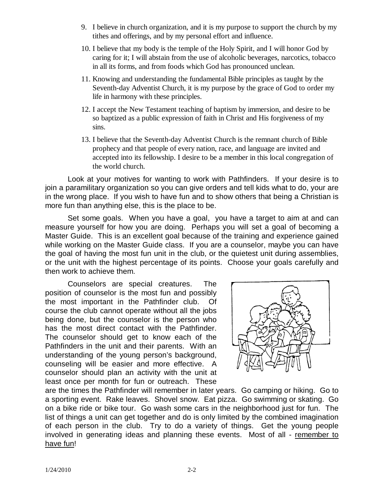- 9. I believe in church organization, and it is my purpose to support the church by my tithes and offerings, and by my personal effort and influence.
- 10. I believe that my body is the temple of the Holy Spirit, and I will honor God by caring for it; I will abstain from the use of alcoholic beverages, narcotics, tobacco in all its forms, and from foods which God has pronounced unclean.
- 11. Knowing and understanding the fundamental Bible principles as taught by the Seventh-day Adventist Church, it is my purpose by the grace of God to order my life in harmony with these principles.
- 12. I accept the New Testament teaching of baptism by immersion, and desire to be so baptized as a public expression of faith in Christ and His forgiveness of my sins.
- 13. I believe that the Seventh-day Adventist Church is the remnant church of Bible prophecy and that people of every nation, race, and language are invited and accepted into its fellowship. I desire to be a member in this local congregation of the world church.

Look at your motives for wanting to work with Pathfinders. If your desire is to join a paramilitary organization so you can give orders and tell kids what to do, your are in the wrong place. If you wish to have fun and to show others that being a Christian is more fun than anything else, this is the place to be.

Set some goals. When you have a goal, you have a target to aim at and can measure yourself for how you are doing. Perhaps you will set a goal of becoming a Master Guide. This is an excellent goal because of the training and experience gained while working on the Master Guide class. If you are a counselor, maybe you can have the goal of having the most fun unit in the club, or the quietest unit during assemblies, or the unit with the highest percentage of its points. Choose your goals carefully and then work to achieve them.

Counselors are special creatures. The position of counselor is the most fun and possibly the most important in the Pathfinder club. Of course the club cannot operate without all the jobs being done, but the counselor is the person who has the most direct contact with the Pathfinder. The counselor should get to know each of the Pathfinders in the unit and their parents. With an understanding of the young person's background, counseling will be easier and more effective. A counselor should plan an activity with the unit at least once per month for fun or outreach. These



are the times the Pathfinder will remember in later years. Go camping or hiking. Go to a sporting event. Rake leaves. Shovel snow. Eat pizza. Go swimming or skating. Go on a bike ride or bike tour. Go wash some cars in the neighborhood just for fun. The list of things a unit can get together and do is only limited by the combined imagination of each person in the club. Try to do a variety of things. Get the young people involved in generating ideas and planning these events. Most of all - remember to have fun!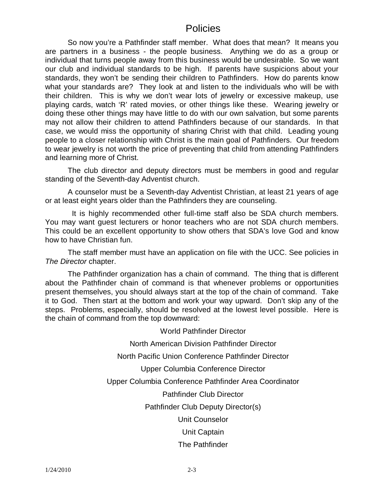## **Policies**

So now you're a Pathfinder staff member. What does that mean? It means you are partners in a business - the people business. Anything we do as a group or individual that turns people away from this business would be undesirable. So we want our club and individual standards to be high. If parents have suspicions about your standards, they won't be sending their children to Pathfinders. How do parents know what your standards are? They look at and listen to the individuals who will be with their children. This is why we don't wear lots of jewelry or excessive makeup, use playing cards, watch 'R' rated movies, or other things like these. Wearing jewelry or doing these other things may have little to do with our own salvation, but some parents may not allow their children to attend Pathfinders because of our standards. In that case, we would miss the opportunity of sharing Christ with that child. Leading young people to a closer relationship with Christ is the main goal of Pathfinders. Our freedom to wear jewelry is not worth the price of preventing that child from attending Pathfinders and learning more of Christ.

The club director and deputy directors must be members in good and regular standing of the Seventh-day Adventist church.

A counselor must be a Seventh-day Adventist Christian, at least 21 years of age or at least eight years older than the Pathfinders they are counseling.

 It is highly recommended other full-time staff also be SDA church members. You may want guest lecturers or honor teachers who are not SDA church members. This could be an excellent opportunity to show others that SDA's love God and know how to have Christian fun.

The staff member must have an application on file with the UCC. See policies in *The Director* chapter.

The Pathfinder organization has a chain of command. The thing that is different about the Pathfinder chain of command is that whenever problems or opportunities present themselves, you should always start at the top of the chain of command. Take it to God. Then start at the bottom and work your way upward. Don't skip any of the steps. Problems, especially, should be resolved at the lowest level possible. Here is the chain of command from the top downward:

World Pathfinder Director

North American Division Pathfinder Director

North Pacific Union Conference Pathfinder Director

Upper Columbia Conference Director

Upper Columbia Conference Pathfinder Area Coordinator

Pathfinder Club Director

Pathfinder Club Deputy Director(s)

Unit Counselor

Unit Captain

The Pathfinder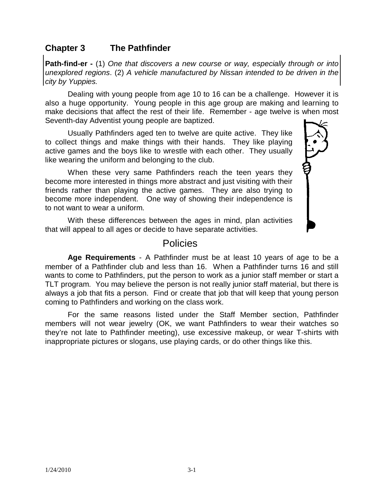## **Chapter 3 The Pathfinder**

**Path-find-er -** (1) *One that discovers a new course or way, especially through or into unexplored regions*. (2) *A vehicle manufactured by Nissan intended to be driven in the city by Yuppies.*

Dealing with young people from age 10 to 16 can be a challenge. However it is also a huge opportunity. Young people in this age group are making and learning to make decisions that affect the rest of their life. Remember - age twelve is when most Seventh-day Adventist young people are baptized.

Usually Pathfinders aged ten to twelve are quite active. They like to collect things and make things with their hands. They like playing active games and the boys like to wrestle with each other. They usually like wearing the uniform and belonging to the club.

When these very same Pathfinders reach the teen years they become more interested in things more abstract and just visiting with their friends rather than playing the active games. They are also trying to become more independent. One way of showing their independence is to not want to wear a uniform.

With these differences between the ages in mind, plan activities that will appeal to all ages or decide to have separate activities.

## Policies

**Age Requirements** - A Pathfinder must be at least 10 years of age to be a member of a Pathfinder club and less than 16. When a Pathfinder turns 16 and still wants to come to Pathfinders, put the person to work as a junior staff member or start a TLT program. You may believe the person is not really junior staff material, but there is always a job that fits a person. Find or create that job that will keep that young person coming to Pathfinders and working on the class work.

For the same reasons listed under the Staff Member section, Pathfinder members will not wear jewelry (OK, we want Pathfinders to wear their watches so they're not late to Pathfinder meeting), use excessive makeup, or wear T-shirts with inappropriate pictures or slogans, use playing cards, or do other things like this.

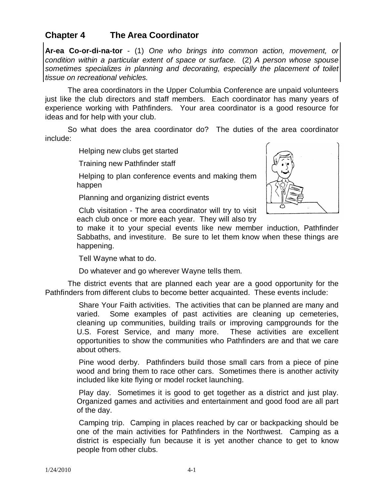#### 1/24/2010 4-1

#### **Chapter 4 The Area Coordinator**

**Ar-ea Co-or-di-na-tor** - (1) *One who brings into common action, movement, or condition within a particular extent of space or surface.* (2) *A person whose spouse sometimes specializes in planning and decorating, especially the placement of toilet tissue on recreational vehicles.*

The area coordinators in the Upper Columbia Conference are unpaid volunteers just like the club directors and staff members. Each coordinator has many years of experience working with Pathfinders. Your area coordinator is a good resource for ideas and for help with your club.

So what does the area coordinator do? The duties of the area coordinator include:

Helping new clubs get started

Training new Pathfinder staff

Helping to plan conference events and making them happen

Planning and organizing district events

Club visitation - The area coordinator will try to visit each club once or more each year. They will also try



to make it to your special events like new member induction, Pathfinder Sabbaths, and investiture. Be sure to let them know when these things are happening.

Tell Wayne what to do.

Do whatever and go wherever Wayne tells them.

The district events that are planned each year are a good opportunity for the Pathfinders from different clubs to become better acquainted. These events include:

> Share Your Faith activities. The activities that can be planned are many and varied. Some examples of past activities are cleaning up cemeteries, cleaning up communities, building trails or improving campgrounds for the U.S. Forest Service, and many more. These activities are excellent opportunities to show the communities who Pathfinders are and that we care about others.

> Pine wood derby. Pathfinders build those small cars from a piece of pine wood and bring them to race other cars. Sometimes there is another activity included like kite flying or model rocket launching.

> Play day. Sometimes it is good to get together as a district and just play. Organized games and activities and entertainment and good food are all part of the day.

> Camping trip. Camping in places reached by car or backpacking should be one of the main activities for Pathfinders in the Northwest. Camping as a district is especially fun because it is yet another chance to get to know people from other clubs.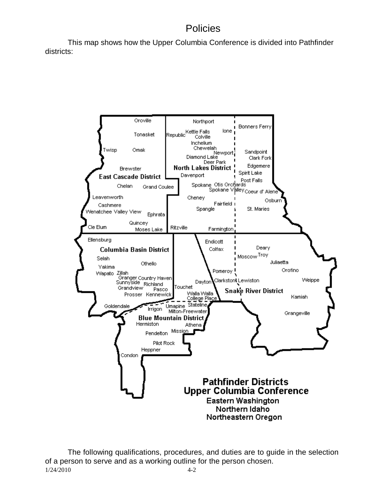## Policies

This map shows how the Upper Columbia Conference is divided into Pathfinder districts:



1/24/2010 4-2 The following qualifications, procedures, and duties are to guide in the selection of a person to serve and as a working outline for the person chosen.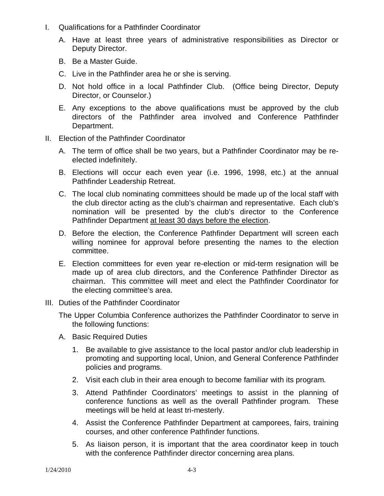- I. Qualifications for a Pathfinder Coordinator
	- A. Have at least three years of administrative responsibilities as Director or Deputy Director.
	- B. Be a Master Guide.
	- C. Live in the Pathfinder area he or she is serving.
	- D. Not hold office in a local Pathfinder Club. (Office being Director, Deputy Director, or Counselor.)
	- E. Any exceptions to the above qualifications must be approved by the club directors of the Pathfinder area involved and Conference Pathfinder Department.
- II. Election of the Pathfinder Coordinator
	- A. The term of office shall be two years, but a Pathfinder Coordinator may be reelected indefinitely.
	- B. Elections will occur each even year (i.e. 1996, 1998, etc.) at the annual Pathfinder Leadership Retreat.
	- C. The local club nominating committees should be made up of the local staff with the club director acting as the club's chairman and representative. Each club's nomination will be presented by the club's director to the Conference Pathfinder Department at least 30 days before the election.
	- D. Before the election, the Conference Pathfinder Department will screen each willing nominee for approval before presenting the names to the election committee.
	- E. Election committees for even year re-election or mid-term resignation will be made up of area club directors, and the Conference Pathfinder Director as chairman. This committee will meet and elect the Pathfinder Coordinator for the electing committee's area.
- III. Duties of the Pathfinder Coordinator
	- The Upper Columbia Conference authorizes the Pathfinder Coordinator to serve in the following functions:
	- A. Basic Required Duties
		- 1. Be available to give assistance to the local pastor and/or club leadership in promoting and supporting local, Union, and General Conference Pathfinder policies and programs.
		- 2. Visit each club in their area enough to become familiar with its program.
		- 3. Attend Pathfinder Coordinators' meetings to assist in the planning of conference functions as well as the overall Pathfinder program. These meetings will be held at least tri-mesterly.
		- 4. Assist the Conference Pathfinder Department at camporees, fairs, training courses, and other conference Pathfinder functions.
		- 5. As liaison person, it is important that the area coordinator keep in touch with the conference Pathfinder director concerning area plans.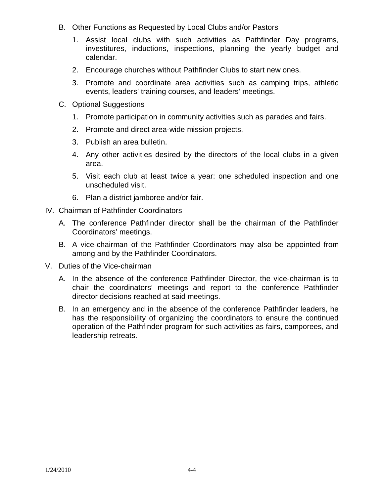- B. Other Functions as Requested by Local Clubs and/or Pastors
	- 1. Assist local clubs with such activities as Pathfinder Day programs, investitures, inductions, inspections, planning the yearly budget and calendar.
	- 2. Encourage churches without Pathfinder Clubs to start new ones.
	- 3. Promote and coordinate area activities such as camping trips, athletic events, leaders' training courses, and leaders' meetings.
- C. Optional Suggestions
	- 1. Promote participation in community activities such as parades and fairs.
	- 2. Promote and direct area-wide mission projects.
	- 3. Publish an area bulletin.
	- 4. Any other activities desired by the directors of the local clubs in a given area.
	- 5. Visit each club at least twice a year: one scheduled inspection and one unscheduled visit.
	- 6. Plan a district jamboree and/or fair.
- IV. Chairman of Pathfinder Coordinators
	- A. The conference Pathfinder director shall be the chairman of the Pathfinder Coordinators' meetings.
	- B. A vice-chairman of the Pathfinder Coordinators may also be appointed from among and by the Pathfinder Coordinators.
- V. Duties of the Vice-chairman
	- A. In the absence of the conference Pathfinder Director, the vice-chairman is to chair the coordinators' meetings and report to the conference Pathfinder director decisions reached at said meetings.
	- B. In an emergency and in the absence of the conference Pathfinder leaders, he has the responsibility of organizing the coordinators to ensure the continued operation of the Pathfinder program for such activities as fairs, camporees, and leadership retreats.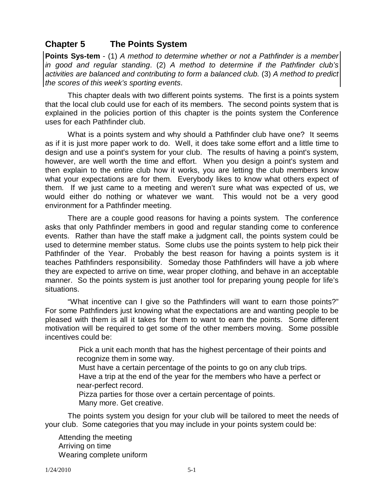## **Chapter 5 The Points System**

**Points Sys-tem** - (1) *A method to determine whether or not a Pathfinder is a member in good and regular standing*. (2) *A method to determine if the Pathfinder club's activities are balanced and contributing to form a balanced club.* (3) *A method to predict the scores of this week's sporting events*.

This chapter deals with two different points systems. The first is a points system that the local club could use for each of its members. The second points system that is explained in the policies portion of this chapter is the points system the Conference uses for each Pathfinder club.

What is a points system and why should a Pathfinder club have one? It seems as if it is just more paper work to do. Well, it does take some effort and a little time to design and use a point's system for your club. The results of having a point's system, however, are well worth the time and effort. When you design a point's system and then explain to the entire club how it works, you are letting the club members know what your expectations are for them. Everybody likes to know what others expect of them. If we just came to a meeting and weren't sure what was expected of us, we would either do nothing or whatever we want. This would not be a very good environment for a Pathfinder meeting.

There are a couple good reasons for having a points system. The conference asks that only Pathfinder members in good and regular standing come to conference events. Rather than have the staff make a judgment call, the points system could be used to determine member status. Some clubs use the points system to help pick their Pathfinder of the Year. Probably the best reason for having a points system is it teaches Pathfinders responsibility. Someday those Pathfinders will have a job where they are expected to arrive on time, wear proper clothing, and behave in an acceptable manner. So the points system is just another tool for preparing young people for life's situations.

"What incentive can I give so the Pathfinders will want to earn those points?" For some Pathfinders just knowing what the expectations are and wanting people to be pleased with them is all it takes for them to want to earn the points. Some different motivation will be required to get some of the other members moving. Some possible incentives could be:

> Pick a unit each month that has the highest percentage of their points and recognize them in some way.

Must have a certain percentage of the points to go on any club trips.

Have a trip at the end of the year for the members who have a perfect or near-perfect record.

Pizza parties for those over a certain percentage of points. Many more. Get creative.

The points system you design for your club will be tailored to meet the needs of your club. Some categories that you may include in your points system could be:

Attending the meeting Arriving on time Wearing complete uniform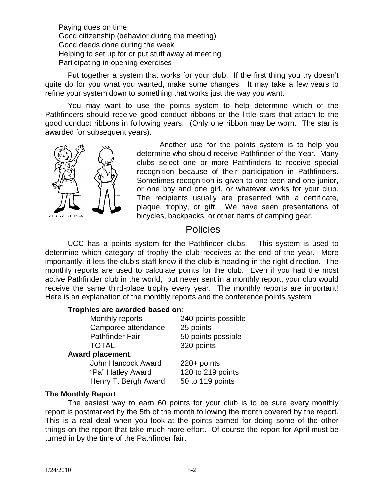Paying dues on time Good citizenship (behavior during the meeting) Good deeds done during the week Helping to set up for or put stuff away at meeting Participating in opening exercises

Put together a system that works for your club. If the first thing you try doesn't quite do for you what you wanted, make some changes. It may take a few years to refine your system down to something that works just the way you want.

You may want to use the points system to help determine which of the Pathfinders should receive good conduct ribbons or the little stars that attach to the good conduct ribbons in following years. (Only one ribbon may be worn. The star is awarded for subsequent years).



Another use for the points system is to help you determine who should receive Pathfinder of the Year. Many clubs select one or more Pathfinders to receive special recognition because of their participation in Pathfinders. Sometimes recognition is given to one teen and one junior, or one boy and one girl, or whatever works for your club. The recipients usually are presented with a certificate, plaque, trophy, or gift. We have seen presentations of bicycles, backpacks, or other items of camping gear.

## **Policies**

UCC has a points system for the Pathfinder clubs. This system is used to determine which category of trophy the club receives at the end of the year. More importantly, it lets the club's staff know if the club is heading in the right direction. The monthly reports are used to calculate points for the club. Even if you had the most active Pathfinder club in the world, but never sent in a monthly report, your club would receive the same third-place trophy every year. The monthly reports are important! Here is an explanation of the monthly reports and the conference points system.

#### **Trophies are awarded based on**:

Monthly reports 240 points possible Camporee attendance 25 points Pathfinder Fair 50 points possible TOTAL 320 points

#### **Award placement**:

John Hancock Award 220+ points "Pa" Hatley Award 120 to 219 points Henry T. Bergh Award 50 to 119 points

#### **The Monthly Report**

The easiest way to earn 60 points for your club is to be sure every monthly report is postmarked by the 5th of the month following the month covered by the report. This is a real deal when you look at the points earned for doing some of the other things on the report that take much more effort. Of course the report for April must be turned in by the time of the Pathfinder fair.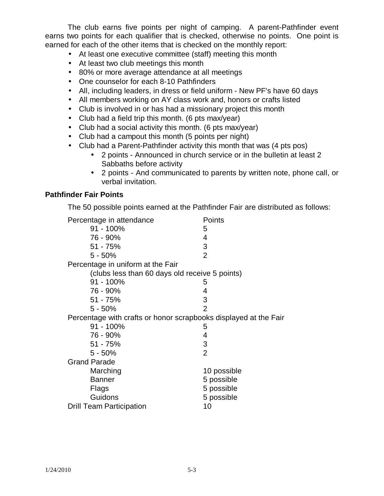The club earns five points per night of camping. A parent-Pathfinder event earns two points for each qualifier that is checked, otherwise no points. One point is earned for each of the other items that is checked on the monthly report:

- At least one executive committee (staff) meeting this month
- At least two club meetings this month
- 80% or more average attendance at all meetings
- One counselor for each 8-10 Pathfinders
- All, including leaders, in dress or field uniform New PF's have 60 days
- All members working on AY class work and, honors or crafts listed
- Club is involved in or has had a missionary project this month
- Club had a field trip this month. (6 pts max/year)
- Club had a social activity this month. (6 pts max/year)
- Club had a campout this month (5 points per night)
- Club had a Parent-Pathfinder activity this month that was (4 pts pos)
	- 2 points Announced in church service or in the bulletin at least 2 Sabbaths before activity
	- 2 points And communicated to parents by written note, phone call, or verbal invitation.

#### **Pathfinder Fair Points**

The 50 possible points earned at the Pathfinder Fair are distributed as follows:

| Percentage in attendance                                         | Points         |  |
|------------------------------------------------------------------|----------------|--|
| $91 - 100\%$                                                     | 5              |  |
| 76 - 90%                                                         | 4              |  |
| $51 - 75%$                                                       | 3              |  |
| $5 - 50%$                                                        | $\overline{2}$ |  |
| Percentage in uniform at the Fair                                |                |  |
| (clubs less than 60 days old receive 5 points)                   |                |  |
| 91 - 100%                                                        | 5              |  |
| 76 - 90%                                                         | 4              |  |
| $51 - 75%$                                                       | 3              |  |
| $5 - 50%$                                                        | $\overline{2}$ |  |
| Percentage with crafts or honor scrapbooks displayed at the Fair |                |  |
| 91 - 100%                                                        | 5              |  |
| 76 - 90%                                                         | 4              |  |
| $51 - 75%$                                                       | 3              |  |
| $5 - 50%$                                                        | $\overline{2}$ |  |
| <b>Grand Parade</b>                                              |                |  |
| Marching                                                         | 10 possible    |  |
| <b>Banner</b>                                                    | 5 possible     |  |
| Flags                                                            | 5 possible     |  |
| Guidons                                                          | 5 possible     |  |
| <b>Drill Team Participation</b>                                  | 10             |  |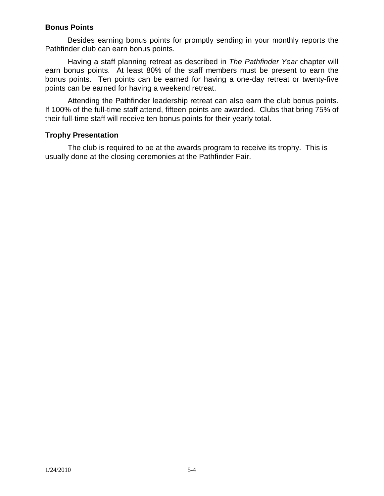#### **Bonus Points**

Besides earning bonus points for promptly sending in your monthly reports the Pathfinder club can earn bonus points.

Having a staff planning retreat as described in *The Pathfinder Year* chapter will earn bonus points. At least 80% of the staff members must be present to earn the bonus points. Ten points can be earned for having a one-day retreat or twenty-five points can be earned for having a weekend retreat.

Attending the Pathfinder leadership retreat can also earn the club bonus points. If 100% of the full-time staff attend, fifteen points are awarded. Clubs that bring 75% of their full-time staff will receive ten bonus points for their yearly total.

#### **Trophy Presentation**

The club is required to be at the awards program to receive its trophy. This is usually done at the closing ceremonies at the Pathfinder Fair.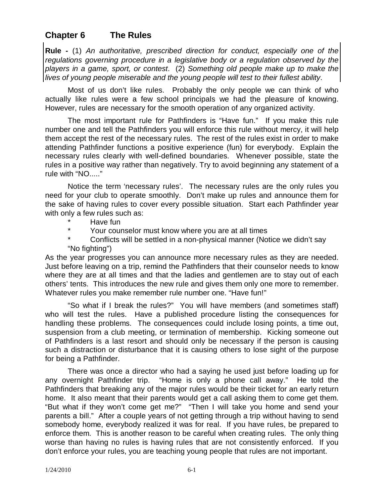## **Chapter 6 The Rules**

**Rule -** (1) *An authoritative, prescribed direction for conduct, especially one of the regulations governing procedure in a legislative body or a regulation observed by the players in a game, sport, or contest*. (2) *Something old people make up to make the lives of young people miserable and the young people will test to their fullest ability*.

Most of us don't like rules. Probably the only people we can think of who actually like rules were a few school principals we had the pleasure of knowing. However, rules are necessary for the smooth operation of any organized activity.

The most important rule for Pathfinders is "Have fun." If you make this rule number one and tell the Pathfinders you will enforce this rule without mercy, it will help them accept the rest of the necessary rules. The rest of the rules exist in order to make attending Pathfinder functions a positive experience (fun) for everybody. Explain the necessary rules clearly with well-defined boundaries. Whenever possible, state the rules in a positive way rather than negatively. Try to avoid beginning any statement of a rule with "NO....."

Notice the term 'necessary rules'. The necessary rules are the only rules you need for your club to operate smoothly. Don't make up rules and announce them for the sake of having rules to cover every possible situation. Start each Pathfinder year with only a few rules such as:

- Have fun
- \* Your counselor must know where you are at all times
- Conflicts will be settled in a non-physical manner (Notice we didn't say "No fighting")

As the year progresses you can announce more necessary rules as they are needed. Just before leaving on a trip, remind the Pathfinders that their counselor needs to know where they are at all times and that the ladies and gentlemen are to stay out of each others' tents. This introduces the new rule and gives them only one more to remember. Whatever rules you make remember rule number one. "Have fun!"

"So what if I break the rules?" You will have members (and sometimes staff) who will test the rules. Have a published procedure listing the consequences for handling these problems. The consequences could include losing points, a time out, suspension from a club meeting, or termination of membership. Kicking someone out of Pathfinders is a last resort and should only be necessary if the person is causing such a distraction or disturbance that it is causing others to lose sight of the purpose for being a Pathfinder.

There was once a director who had a saying he used just before loading up for any overnight Pathfinder trip. "Home is only a phone call away." He told the Pathfinders that breaking any of the major rules would be their ticket for an early return home. It also meant that their parents would get a call asking them to come get them. "But what if they won't come get me?" "Then I will take you home and send your parents a bill." After a couple years of not getting through a trip without having to send somebody home, everybody realized it was for real. If you have rules, be prepared to enforce them. This is another reason to be careful when creating rules. The only thing worse than having no rules is having rules that are not consistently enforced. If you don't enforce your rules, you are teaching young people that rules are not important.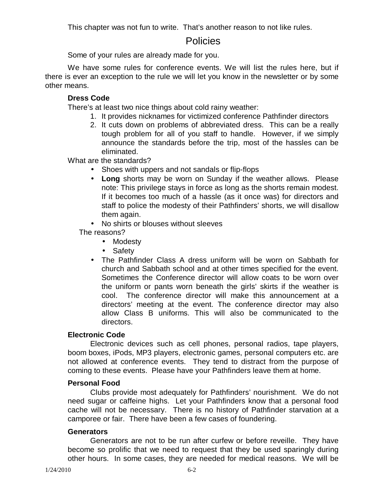This chapter was not fun to write. That's another reason to not like rules.

## Policies

Some of your rules are already made for you.

We have some rules for conference events. We will list the rules here, but if there is ever an exception to the rule we will let you know in the newsletter or by some other means.

#### **Dress Code**

There's at least two nice things about cold rainy weather:

- 1. It provides nicknames for victimized conference Pathfinder directors
- 2. It cuts down on problems of abbreviated dress. This can be a really tough problem for all of you staff to handle. However, if we simply announce the standards before the trip, most of the hassles can be eliminated.

What are the standards?

- Shoes with uppers and not sandals or flip-flops
- **Long** shorts may be worn on Sunday if the weather allows. Please note: This privilege stays in force as long as the shorts remain modest. If it becomes too much of a hassle (as it once was) for directors and staff to police the modesty of their Pathfinders' shorts, we will disallow them again.
- No shirts or blouses without sleeves

The reasons?

- Modesty
- Safety
- The Pathfinder Class A dress uniform will be worn on Sabbath for church and Sabbath school and at other times specified for the event. Sometimes the Conference director will allow coats to be worn over the uniform or pants worn beneath the girls' skirts if the weather is cool. The conference director will make this announcement at a directors' meeting at the event. The conference director may also allow Class B uniforms. This will also be communicated to the directors.

#### **Electronic Code**

Electronic devices such as cell phones, personal radios, tape players, boom boxes, iPods, MP3 players, electronic games, personal computers etc. are not allowed at conference events. They tend to distract from the purpose of coming to these events. Please have your Pathfinders leave them at home.

#### **Personal Food**

Clubs provide most adequately for Pathfinders' nourishment. We do not need sugar or caffeine highs. Let your Pathfinders know that a personal food cache will not be necessary. There is no history of Pathfinder starvation at a camporee or fair. There have been a few cases of foundering.

#### **Generators**

Generators are not to be run after curfew or before reveille. They have become so prolific that we need to request that they be used sparingly during other hours. In some cases, they are needed for medical reasons. We will be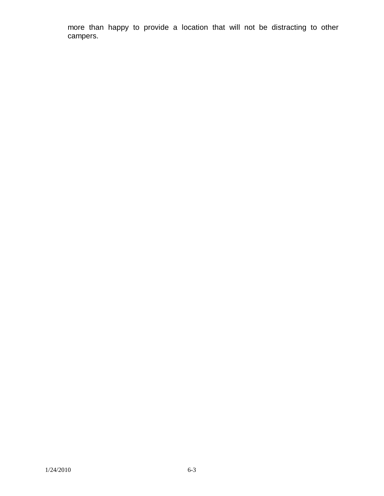more than happy to provide a location that will not be distracting to other campers.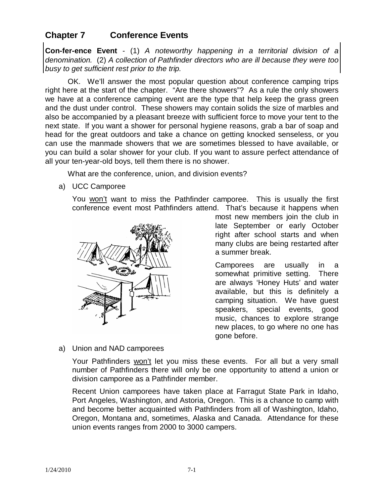## **Chapter 7 Conference Events**

**Con-fer-ence Event** - (1) *A noteworthy happening in a territorial division of a denomination.* (2) *A collection of Pathfinder directors who are ill because they were too busy to get sufficient rest prior to the trip.*

OK. We'll answer the most popular question about conference camping trips right here at the start of the chapter. "Are there showers"? As a rule the only showers we have at a conference camping event are the type that help keep the grass green and the dust under control. These showers may contain solids the size of marbles and also be accompanied by a pleasant breeze with sufficient force to move your tent to the next state. If you want a shower for personal hygiene reasons, grab a bar of soap and head for the great outdoors and take a chance on getting knocked senseless, or you can use the manmade showers that we are sometimes blessed to have available, or you can build a solar shower for your club. If you want to assure perfect attendance of all your ten-year-old boys, tell them there is no shower.

What are the conference, union, and division events?

a) UCC Camporee

You won't want to miss the Pathfinder camporee. This is usually the first conference event most Pathfinders attend. That's because it happens when



most new members join the club in late September or early October right after school starts and when many clubs are being restarted after a summer break.

Camporees are usually in a somewhat primitive setting. There are always 'Honey Huts' and water available, but this is definitely a camping situation. We have guest speakers, special events, good music, chances to explore strange new places, to go where no one has gone before.

#### a) Union and NAD camporees

Your Pathfinders won't let you miss these events. For all but a very small number of Pathfinders there will only be one opportunity to attend a union or division camporee as a Pathfinder member.

Recent Union camporees have taken place at Farragut State Park in Idaho, Port Angeles, Washington, and Astoria, Oregon. This is a chance to camp with and become better acquainted with Pathfinders from all of Washington, Idaho, Oregon, Montana and, sometimes, Alaska and Canada. Attendance for these union events ranges from 2000 to 3000 campers.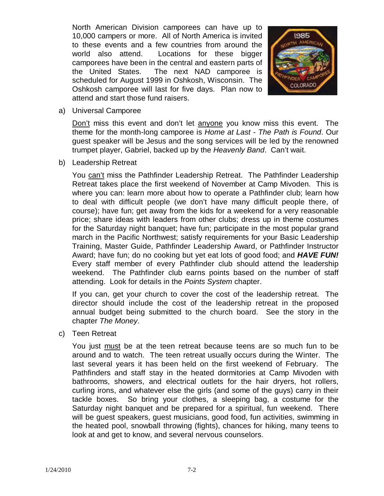North American Division camporees can have up to 10,000 campers or more. All of North America is invited to these events and a few countries from around the world also attend. Locations for these bigger camporees have been in the central and eastern parts of the United States. The next NAD camporee is scheduled for August 1999 in Oshkosh, Wisconsin. The Oshkosh camporee will last for five days. Plan now to attend and start those fund raisers.



a) Universal Camporee

Don't miss this event and don't let anyone you know miss this event. The theme for the month-long camporee is *Home at Last - The Path is Found*. Our guest speaker will be Jesus and the song services will be led by the renowned trumpet player, Gabriel, backed up by the *Heavenly Band*. Can't wait.

b) Leadership Retreat

You can't miss the Pathfinder Leadership Retreat. The Pathfinder Leadership Retreat takes place the first weekend of November at Camp Mivoden. This is where you can: learn more about how to operate a Pathfinder club; learn how to deal with difficult people (we don't have many difficult people there, of course); have fun; get away from the kids for a weekend for a very reasonable price; share ideas with leaders from other clubs; dress up in theme costumes for the Saturday night banquet; have fun; participate in the most popular grand march in the Pacific Northwest; satisfy requirements for your Basic Leadership Training, Master Guide, Pathfinder Leadership Award, or Pathfinder Instructor Award; have fun; do no cooking but yet eat lots of good food; and *HAVE FUN!*  Every staff member of every Pathfinder club should attend the leadership weekend. The Pathfinder club earns points based on the number of staff attending. Look for details in the *Points System* chapter.

If you can, get your church to cover the cost of the leadership retreat. The director should include the cost of the leadership retreat in the proposed annual budget being submitted to the church board. See the story in the chapter *The Money*.

c) Teen Retreat

You just must be at the teen retreat because teens are so much fun to be around and to watch. The teen retreat usually occurs during the Winter. The last several years it has been held on the first weekend of February. The Pathfinders and staff stay in the heated dormitories at Camp Mivoden with bathrooms, showers, and electrical outlets for the hair dryers, hot rollers, curling irons, and whatever else the girls (and some of the guys) carry in their tackle boxes. So bring your clothes, a sleeping bag, a costume for the Saturday night banquet and be prepared for a spiritual, fun weekend. There will be guest speakers, guest musicians, good food, fun activities, swimming in the heated pool, snowball throwing (fights), chances for hiking, many teens to look at and get to know, and several nervous counselors.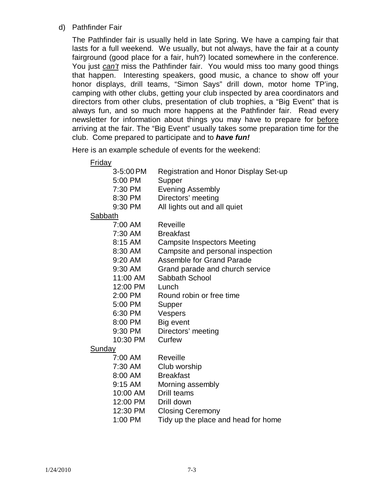d) Pathfinder Fair

The Pathfinder fair is usually held in late Spring. We have a camping fair that lasts for a full weekend. We usually, but not always, have the fair at a county fairground (good place for a fair, huh?) located somewhere in the conference. You just *can't* miss the Pathfinder fair. You would miss too many good things that happen. Interesting speakers, good music, a chance to show off your honor displays, drill teams, "Simon Says" drill down, motor home TP'ing, camping with other clubs, getting your club inspected by area coordinators and directors from other clubs, presentation of club trophies, a "Big Event" that is always fun, and so much more happens at the Pathfinder fair. Read every newsletter for information about things you may have to prepare for before arriving at the fair. The "Big Event" usually takes some preparation time for the club. Come prepared to participate and to *have fun!*

Here is an example schedule of events for the weekend:

| <u>Friday</u>  |                                              |
|----------------|----------------------------------------------|
| 3-5:00 PM      | <b>Registration and Honor Display Set-up</b> |
| 5:00 PM        | Supper                                       |
| 7:30 PM        | <b>Evening Assembly</b>                      |
| 8:30 PM        | Directors' meeting                           |
| 9:30 PM        | All lights out and all quiet                 |
| <b>Sabbath</b> |                                              |
| 7:00 AM        | Reveille                                     |
| 7:30 AM        | <b>Breakfast</b>                             |
| 8:15 AM        | <b>Campsite Inspectors Meeting</b>           |
| 8:30 AM        | Campsite and personal inspection             |
| $9:20$ AM      | <b>Assemble for Grand Parade</b>             |
| 9:30 AM        | Grand parade and church service              |
| 11:00 AM       | Sabbath School                               |
| 12:00 PM       | Lunch                                        |
| 2:00 PM        | Round robin or free time                     |
| 5:00 PM        | Supper                                       |
| 6:30 PM        | Vespers                                      |
| 8:00 PM        | Big event                                    |
| 9:30 PM        | Directors' meeting                           |
| 10:30 PM       | Curfew                                       |
| <b>Sunday</b>  |                                              |
| 7:00 AM        | Reveille                                     |
| 7:30 AM        | Club worship                                 |
| 8:00 AM        | <b>Breakfast</b>                             |
| $9:15$ AM      | Morning assembly                             |
| 10:00 AM       | Drill teams                                  |
| 12:00 PM       | Drill down                                   |

- 12:30 PM Closing Ceremony
- 1:00 PM Tidy up the place and head for home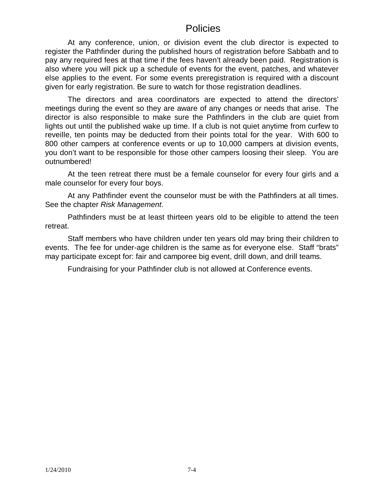## Policies

At any conference, union, or division event the club director is expected to register the Pathfinder during the published hours of registration before Sabbath and to pay any required fees at that time if the fees haven't already been paid. Registration is also where you will pick up a schedule of events for the event, patches, and whatever else applies to the event. For some events preregistration is required with a discount given for early registration. Be sure to watch for those registration deadlines.

The directors and area coordinators are expected to attend the directors' meetings during the event so they are aware of any changes or needs that arise. The director is also responsible to make sure the Pathfinders in the club are quiet from lights out until the published wake up time. If a club is not quiet anytime from curfew to reveille, ten points may be deducted from their points total for the year. With 600 to 800 other campers at conference events or up to 10,000 campers at division events, you don't want to be responsible for those other campers loosing their sleep. You are outnumbered!

At the teen retreat there must be a female counselor for every four girls and a male counselor for every four boys.

At any Pathfinder event the counselor must be with the Pathfinders at all times. See the chapter *Risk Management*.

Pathfinders must be at least thirteen years old to be eligible to attend the teen retreat.

Staff members who have children under ten years old may bring their children to events. The fee for under-age children is the same as for everyone else. Staff "brats" may participate except for: fair and camporee big event, drill down, and drill teams.

Fundraising for your Pathfinder club is not allowed at Conference events.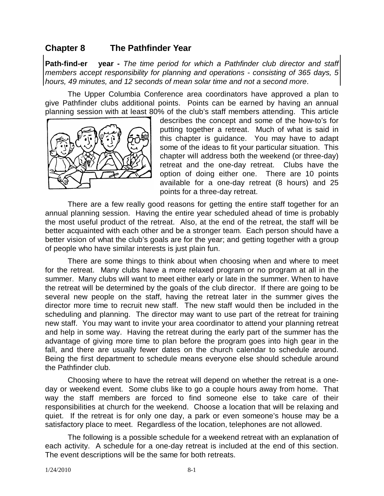## **Chapter 8 The Pathfinder Year**

**Path-find-er year -** *The time period for which a Pathfinder club director and staff members accept responsibility for planning and operations - consisting of 365 days, 5 hours, 49 minutes, and 12 seconds of mean solar time and not a second more*.

The Upper Columbia Conference area coordinators have approved a plan to give Pathfinder clubs additional points. Points can be earned by having an annual planning session with at least 80% of the club's staff members attending. This article



describes the concept and some of the how-to's for putting together a retreat. Much of what is said in this chapter is guidance. You may have to adapt some of the ideas to fit your particular situation. This chapter will address both the weekend (or three-day) retreat and the one-day retreat. Clubs have the option of doing either one. There are 10 points available for a one-day retreat (8 hours) and 25 points for a three-day retreat.

There are a few really good reasons for getting the entire staff together for an annual planning session. Having the entire year scheduled ahead of time is probably the most useful product of the retreat. Also, at the end of the retreat, the staff will be better acquainted with each other and be a stronger team. Each person should have a better vision of what the club's goals are for the year; and getting together with a group of people who have similar interests is just plain fun.

There are some things to think about when choosing when and where to meet for the retreat. Many clubs have a more relaxed program or no program at all in the summer. Many clubs will want to meet either early or late in the summer. When to have the retreat will be determined by the goals of the club director. If there are going to be several new people on the staff, having the retreat later in the summer gives the director more time to recruit new staff. The new staff would then be included in the scheduling and planning. The director may want to use part of the retreat for training new staff. You may want to invite your area coordinator to attend your planning retreat and help in some way. Having the retreat during the early part of the summer has the advantage of giving more time to plan before the program goes into high gear in the fall, and there are usually fewer dates on the church calendar to schedule around. Being the first department to schedule means everyone else should schedule around the Pathfinder club.

Choosing where to have the retreat will depend on whether the retreat is a oneday or weekend event. Some clubs like to go a couple hours away from home. That way the staff members are forced to find someone else to take care of their responsibilities at church for the weekend. Choose a location that will be relaxing and quiet. If the retreat is for only one day, a park or even someone's house may be a satisfactory place to meet. Regardless of the location, telephones are not allowed.

The following is a possible schedule for a weekend retreat with an explanation of each activity. A schedule for a one-day retreat is included at the end of this section. The event descriptions will be the same for both retreats.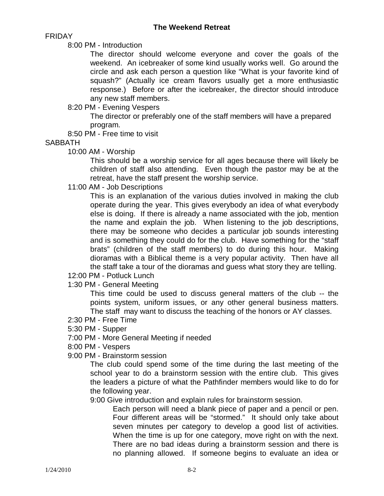FRIDAY

8:00 PM - Introduction

The director should welcome everyone and cover the goals of the weekend. An icebreaker of some kind usually works well. Go around the circle and ask each person a question like "What is your favorite kind of squash?" (Actually ice cream flavors usually get a more enthusiastic response.) Before or after the icebreaker, the director should introduce any new staff members.

8:20 PM - Evening Vespers

The director or preferably one of the staff members will have a prepared program.

8:50 PM - Free time to visit

**SABBATH** 

10:00 AM - Worship

This should be a worship service for all ages because there will likely be children of staff also attending. Even though the pastor may be at the retreat, have the staff present the worship service.

11:00 AM - Job Descriptions

This is an explanation of the various duties involved in making the club operate during the year. This gives everybody an idea of what everybody else is doing. If there is already a name associated with the job, mention the name and explain the job. When listening to the job descriptions, there may be someone who decides a particular job sounds interesting and is something they could do for the club. Have something for the "staff brats" (children of the staff members) to do during this hour. Making dioramas with a Biblical theme is a very popular activity. Then have all the staff take a tour of the dioramas and guess what story they are telling.

- 12:00 PM Potluck Lunch
- 1:30 PM General Meeting

This time could be used to discuss general matters of the club -- the points system, uniform issues, or any other general business matters. The staff may want to discuss the teaching of the honors or AY classes.

- 2:30 PM Free Time
- 5:30 PM Supper
- 7:00 PM More General Meeting if needed
- 8:00 PM Vespers
- 9:00 PM Brainstorm session

The club could spend some of the time during the last meeting of the school year to do a brainstorm session with the entire club. This gives the leaders a picture of what the Pathfinder members would like to do for the following year.

9:00 Give introduction and explain rules for brainstorm session.

Each person will need a blank piece of paper and a pencil or pen. Four different areas will be "stormed." It should only take about seven minutes per category to develop a good list of activities. When the time is up for one category, move right on with the next. There are no bad ideas during a brainstorm session and there is no planning allowed. If someone begins to evaluate an idea or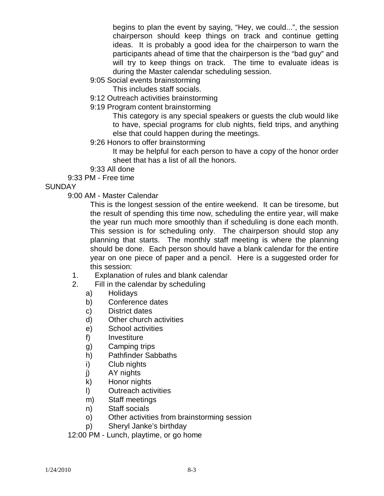begins to plan the event by saying, "Hey, we could...", the session chairperson should keep things on track and continue getting ideas. It is probably a good idea for the chairperson to warn the participants ahead of time that the chairperson is the "bad guy" and will try to keep things on track. The time to evaluate ideas is during the Master calendar scheduling session.

- 9:05 Social events brainstorming
	- This includes staff socials.
- 9:12 Outreach activities brainstorming
- 9:19 Program content brainstorming

This category is any special speakers or guests the club would like to have, special programs for club nights, field trips, and anything else that could happen during the meetings.

9:26 Honors to offer brainstorming

It may be helpful for each person to have a copy of the honor order sheet that has a list of all the honors.

- 9:33 All done
- 9:33 PM Free time

#### **SUNDAY**

9:00 AM - Master Calendar

This is the longest session of the entire weekend. It can be tiresome, but the result of spending this time now, scheduling the entire year, will make the year run much more smoothly than if scheduling is done each month. This session is for scheduling only. The chairperson should stop any planning that starts. The monthly staff meeting is where the planning should be done. Each person should have a blank calendar for the entire year on one piece of paper and a pencil. Here is a suggested order for this session:

- 1. Explanation of rules and blank calendar
- 2. Fill in the calendar by scheduling
	- a) Holidays
	- b) Conference dates
	- c) District dates
	- d) Other church activities
	- e) School activities
	- f) Investiture
	- g) Camping trips
	- h) Pathfinder Sabbaths
	- i) Club nights
	- j) AY nights
	- k) Honor nights
	- l) Outreach activities
	- m) Staff meetings
	- n) Staff socials
	- o) Other activities from brainstorming session
	- p) Sheryl Janke's birthday

12:00 PM - Lunch, playtime, or go home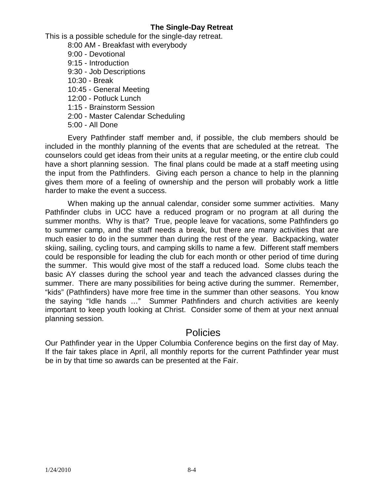#### **The Single-Day Retreat**

This is a possible schedule for the single-day retreat.

8:00 AM - Breakfast with everybody 9:00 - Devotional 9:15 - Introduction 9:30 - Job Descriptions 10:30 - Break 10:45 - General Meeting 12:00 - Potluck Lunch 1:15 - Brainstorm Session 2:00 - Master Calendar Scheduling 5:00 - All Done

Every Pathfinder staff member and, if possible, the club members should be included in the monthly planning of the events that are scheduled at the retreat. The counselors could get ideas from their units at a regular meeting, or the entire club could have a short planning session. The final plans could be made at a staff meeting using the input from the Pathfinders. Giving each person a chance to help in the planning gives them more of a feeling of ownership and the person will probably work a little harder to make the event a success.

When making up the annual calendar, consider some summer activities. Many Pathfinder clubs in UCC have a reduced program or no program at all during the summer months. Why is that? True, people leave for vacations, some Pathfinders go to summer camp, and the staff needs a break, but there are many activities that are much easier to do in the summer than during the rest of the year. Backpacking, water skiing, sailing, cycling tours, and camping skills to name a few. Different staff members could be responsible for leading the club for each month or other period of time during the summer. This would give most of the staff a reduced load. Some clubs teach the basic AY classes during the school year and teach the advanced classes during the summer. There are many possibilities for being active during the summer. Remember, "kids" (Pathfinders) have more free time in the summer than other seasons. You know the saying "Idle hands …" Summer Pathfinders and church activities are keenly important to keep youth looking at Christ. Consider some of them at your next annual planning session.

## **Policies**

Our Pathfinder year in the Upper Columbia Conference begins on the first day of May. If the fair takes place in April, all monthly reports for the current Pathfinder year must be in by that time so awards can be presented at the Fair.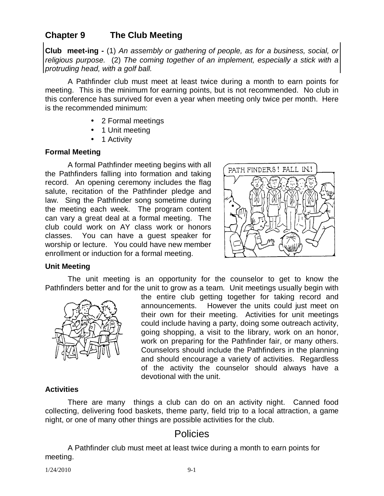## **Chapter 9 The Club Meeting**

**Club meet-ing -** (1) *An assembly or gathering of people, as for a business, social, or religious purpose.* (2) *The coming together of an implement, especially a stick with a protruding head, with a golf ball.*

A Pathfinder club must meet at least twice during a month to earn points for meeting. This is the minimum for earning points, but is not recommended. No club in this conference has survived for even a year when meeting only twice per month. Here is the recommended minimum:

- 2 Formal meetings
- 1 Unit meeting
- 1 Activity

#### **Formal Meeting**

A formal Pathfinder meeting begins with all the Pathfinders falling into formation and taking record. An opening ceremony includes the flag salute, recitation of the Pathfinder pledge and law. Sing the Pathfinder song sometime during the meeting each week. The program content can vary a great deal at a formal meeting. The club could work on AY class work or honors classes. You can have a guest speaker for worship or lecture. You could have new member enrollment or induction for a formal meeting.



#### **Unit Meeting**

The unit meeting is an opportunity for the counselor to get to know the Pathfinders better and for the unit to grow as a team. Unit meetings usually begin with



the entire club getting together for taking record and announcements. However the units could just meet on their own for their meeting. Activities for unit meetings could include having a party, doing some outreach activity, going shopping, a visit to the library, work on an honor, work on preparing for the Pathfinder fair, or many others. Counselors should include the Pathfinders in the planning and should encourage a variety of activities. Regardless of the activity the counselor should always have a devotional with the unit.

#### **Activities**

There are many things a club can do on an activity night. Canned food collecting, delivering food baskets, theme party, field trip to a local attraction, a game night, or one of many other things are possible activities for the club.

## Policies

A Pathfinder club must meet at least twice during a month to earn points for meeting.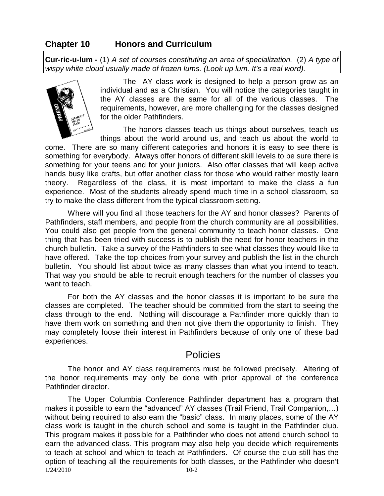## **Chapter 10 Honors and Curriculum**

**Cur-ric-u-lum -** (1) *A set of courses constituting an area of specialization.* (2) *A type of wispy white cloud usually made of frozen lums. (Look up lum. It's a real word).*



The AY class work is designed to help a person grow as an individual and as a Christian. You will notice the categories taught in the AY classes are the same for all of the various classes. The requirements, however, are more challenging for the classes designed for the older Pathfinders.

The honors classes teach us things about ourselves, teach us things about the world around us, and teach us about the world to

come. There are so many different categories and honors it is easy to see there is something for everybody. Always offer honors of different skill levels to be sure there is something for your teens and for your juniors. Also offer classes that will keep active hands busy like crafts, but offer another class for those who would rather mostly learn theory. Regardless of the class, it is most important to make the class a fun experience. Most of the students already spend much time in a school classroom, so try to make the class different from the typical classroom setting.

Where will you find all those teachers for the AY and honor classes? Parents of Pathfinders, staff members, and people from the church community are all possibilities. You could also get people from the general community to teach honor classes. One thing that has been tried with success is to publish the need for honor teachers in the church bulletin. Take a survey of the Pathfinders to see what classes they would like to have offered. Take the top choices from your survey and publish the list in the church bulletin. You should list about twice as many classes than what you intend to teach. That way you should be able to recruit enough teachers for the number of classes you want to teach.

For both the AY classes and the honor classes it is important to be sure the classes are completed. The teacher should be committed from the start to seeing the class through to the end. Nothing will discourage a Pathfinder more quickly than to have them work on something and then not give them the opportunity to finish. They may completely loose their interest in Pathfinders because of only one of these bad experiences.

## Policies

The honor and AY class requirements must be followed precisely. Altering of the honor requirements may only be done with prior approval of the conference Pathfinder director.

1/24/2010 10-2 The Upper Columbia Conference Pathfinder department has a program that makes it possible to earn the "advanced" AY classes (Trail Friend, Trail Companion,…) without being required to also earn the "basic" class. In many places, some of the AY class work is taught in the church school and some is taught in the Pathfinder club. This program makes it possible for a Pathfinder who does not attend church school to earn the advanced class. This program may also help you decide which requirements to teach at school and which to teach at Pathfinders. Of course the club still has the option of teaching all the requirements for both classes, or the Pathfinder who doesn't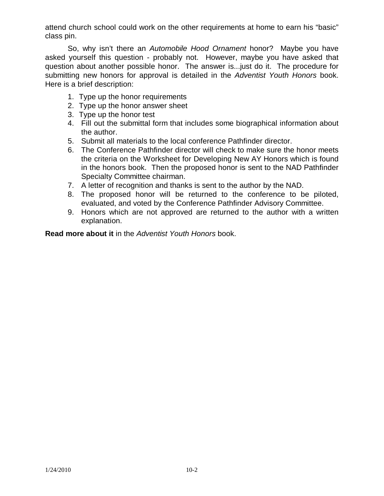attend church school could work on the other requirements at home to earn his "basic" class pin.

So, why isn't there an *Automobile Hood Ornament* honor? Maybe you have asked yourself this question - probably not. However, maybe you have asked that question about another possible honor. The answer is...just do it. The procedure for submitting new honors for approval is detailed in the *Adventist Youth Honors* book. Here is a brief description:

- 1. Type up the honor requirements
- 2. Type up the honor answer sheet
- 3. Type up the honor test
- 4. Fill out the submittal form that includes some biographical information about the author.
- 5. Submit all materials to the local conference Pathfinder director.
- 6. The Conference Pathfinder director will check to make sure the honor meets the criteria on the Worksheet for Developing New AY Honors which is found in the honors book. Then the proposed honor is sent to the NAD Pathfinder Specialty Committee chairman.
- 7. A letter of recognition and thanks is sent to the author by the NAD.
- 8. The proposed honor will be returned to the conference to be piloted, evaluated, and voted by the Conference Pathfinder Advisory Committee.
- 9. Honors which are not approved are returned to the author with a written explanation.

**Read more about it** in the *Adventist Youth Honors* book.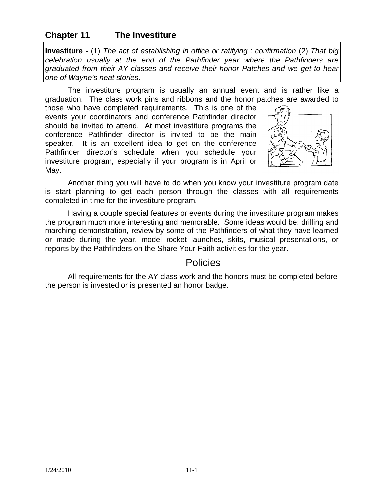## **Chapter 11 The Investiture**

**Investiture -** (1) *The act of establishing in office or ratifying : confirmation* (2) *That big celebration usually at the end of the Pathfinder year where the Pathfinders are graduated from their AY classes and receive their honor Patches and we get to hear one of Wayne's neat stories*.

The investiture program is usually an annual event and is rather like a graduation. The class work pins and ribbons and the honor patches are awarded to

those who have completed requirements. This is one of the events your coordinators and conference Pathfinder director should be invited to attend. At most investiture programs the conference Pathfinder director is invited to be the main speaker. It is an excellent idea to get on the conference Pathfinder director's schedule when you schedule your investiture program, especially if your program is in April or May.



Another thing you will have to do when you know your investiture program date is start planning to get each person through the classes with all requirements completed in time for the investiture program.

Having a couple special features or events during the investiture program makes the program much more interesting and memorable. Some ideas would be: drilling and marching demonstration, review by some of the Pathfinders of what they have learned or made during the year, model rocket launches, skits, musical presentations, or reports by the Pathfinders on the Share Your Faith activities for the year.

## Policies

All requirements for the AY class work and the honors must be completed before the person is invested or is presented an honor badge.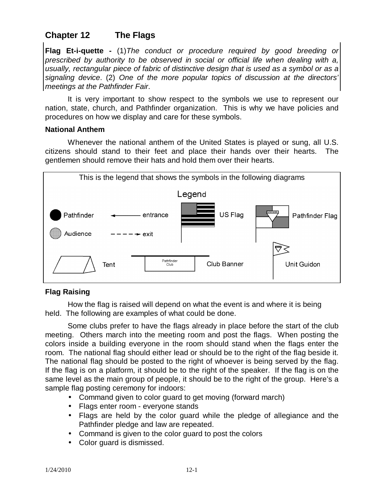# **Chapter 12 The Flags**

**Flag Et-i-quette -** (1)*The conduct or procedure required by good breeding or prescribed by authority to be observed in social or official life when dealing with a, usually, rectangular piece of fabric of distinctive design that is used as a symbol or as a signaling device*. (2) *One of the more popular topics of discussion at the directors' meetings at the Pathfinder Fair*.

It is very important to show respect to the symbols we use to represent our nation, state, church, and Pathfinder organization. This is why we have policies and procedures on how we display and care for these symbols.

#### **National Anthem**

Whenever the national anthem of the United States is played or sung, all U.S. citizens should stand to their feet and place their hands over their hearts. The gentlemen should remove their hats and hold them over their hearts.



### **Flag Raising**

How the flag is raised will depend on what the event is and where it is being held. The following are examples of what could be done.

Some clubs prefer to have the flags already in place before the start of the club meeting. Others march into the meeting room and post the flags. When posting the colors inside a building everyone in the room should stand when the flags enter the room. The national flag should either lead or should be to the right of the flag beside it. The national flag should be posted to the right of whoever is being served by the flag. If the flag is on a platform, it should be to the right of the speaker. If the flag is on the same level as the main group of people, it should be to the right of the group. Here's a sample flag posting ceremony for indoors:

- Command given to color guard to get moving (forward march)
- Flags enter room everyone stands
- Flags are held by the color guard while the pledge of allegiance and the Pathfinder pledge and law are repeated.
- Command is given to the color guard to post the colors
- Color guard is dismissed.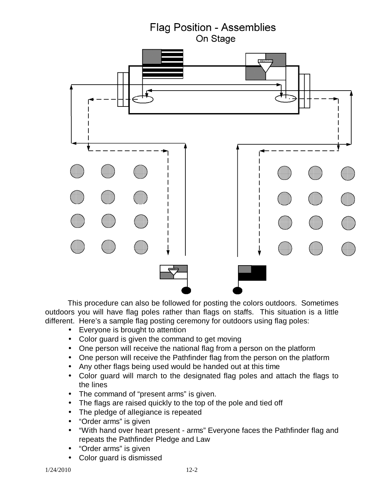

This procedure can also be followed for posting the colors outdoors. Sometimes outdoors you will have flag poles rather than flags on staffs. This situation is a little different. Here's a sample flag posting ceremony for outdoors using flag poles:

- Everyone is brought to attention
- Color guard is given the command to get moving
- One person will receive the national flag from a person on the platform
- One person will receive the Pathfinder flag from the person on the platform
- Any other flags being used would be handed out at this time
- Color guard will march to the designated flag poles and attach the flags to the lines
- The command of "present arms" is given.
- The flags are raised quickly to the top of the pole and tied off
- The pledge of allegiance is repeated
- "Order arms" is given
- "With hand over heart present arms" Everyone faces the Pathfinder flag and repeats the Pathfinder Pledge and Law
- "Order arms" is given
- Color guard is dismissed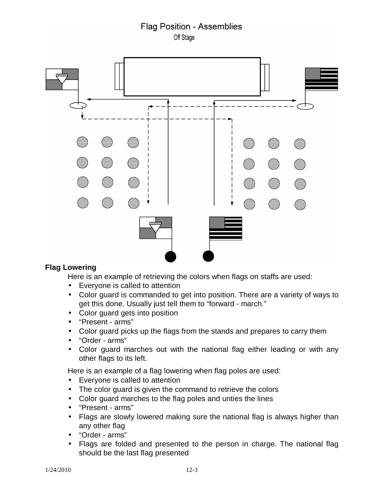## **Flag Position - Assemblies** Off Stage



#### **Flag Lowering**

Here is an example of retrieving the colors when flags on staffs are used:

- Everyone is called to attention
- Color guard is commanded to get into position. There are a variety of ways to get this done. Usually just tell them to "forward - march."
- Color guard gets into position
- "Present arms"
- Color guard picks up the flags from the stands and prepares to carry them
- "Order arms"
- Color guard marches out with the national flag either leading or with any other flags to its left.

Here is an example of a flag lowering when flag poles are used:

- Everyone is called to attention
- The color guard is given the command to retrieve the colors
- Color guard marches to the flag poles and unties the lines
- "Present arms"
- Flags are slowly lowered making sure the national flag is always higher than any other flag
- "Order arms"
- Flags are folded and presented to the person in charge. The national flag should be the last flag presented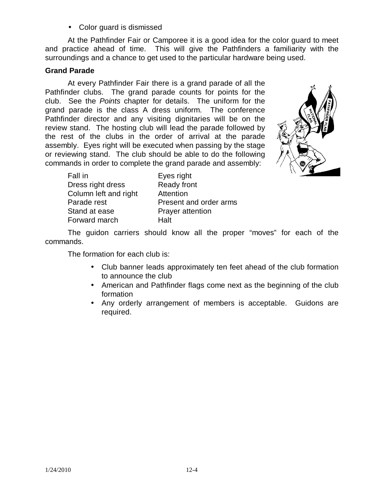• Color guard is dismissed

At the Pathfinder Fair or Camporee it is a good idea for the color guard to meet and practice ahead of time. This will give the Pathfinders a familiarity with the surroundings and a chance to get used to the particular hardware being used.

#### **Grand Parade**

At every Pathfinder Fair there is a grand parade of all the Pathfinder clubs. The grand parade counts for points for the club. See the *Points* chapter for details. The uniform for the grand parade is the class A dress uniform. The conference Pathfinder director and any visiting dignitaries will be on the review stand. The hosting club will lead the parade followed by the rest of the clubs in the order of arrival at the parade assembly. Eyes right will be executed when passing by the stage or reviewing stand. The club should be able to do the following commands in order to complete the grand parade and assembly:



| Fall in               | Eyes right              |
|-----------------------|-------------------------|
| Dress right dress     | <b>Ready front</b>      |
| Column left and right | Attention               |
| Parade rest           | Present and order arms  |
| Stand at ease         | <b>Prayer attention</b> |
| Forward march         | Halt                    |

The guidon carriers should know all the proper "moves" for each of the commands.

The formation for each club is:

- Club banner leads approximately ten feet ahead of the club formation to announce the club
- American and Pathfinder flags come next as the beginning of the club formation
- Any orderly arrangement of members is acceptable. Guidons are required.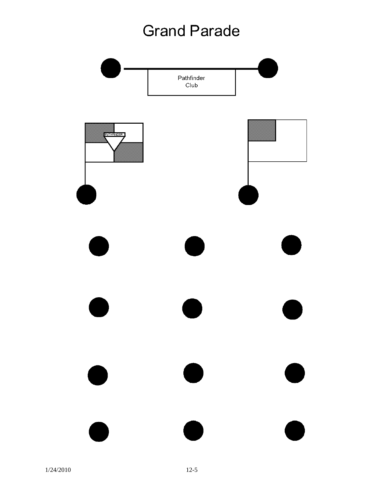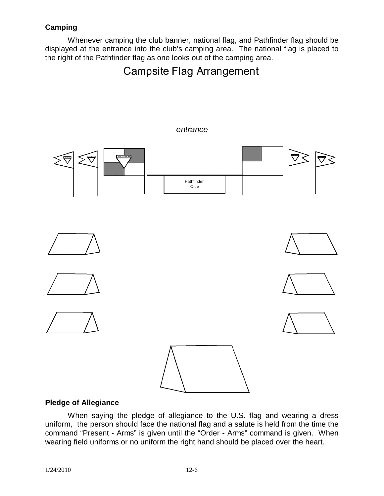### **Camping**

Whenever camping the club banner, national flag, and Pathfinder flag should be displayed at the entrance into the club's camping area. The national flag is placed to the right of the Pathfinder flag as one looks out of the camping area.

**Campsite Flag Arrangement** 



#### **Pledge of Allegiance**

When saying the pledge of allegiance to the U.S. flag and wearing a dress uniform, the person should face the national flag and a salute is held from the time the command "Present - Arms" is given until the "Order - Arms" command is given. When wearing field uniforms or no uniform the right hand should be placed over the heart.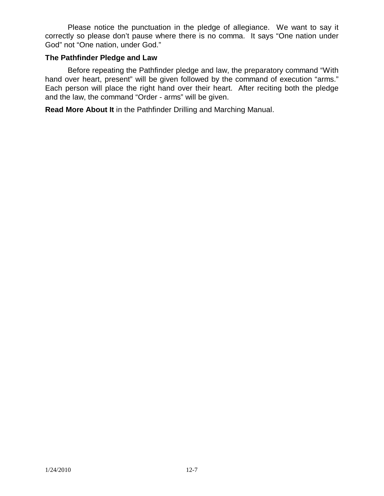Please notice the punctuation in the pledge of allegiance. We want to say it correctly so please don't pause where there is no comma. It says "One nation under God" not "One nation, under God."

#### **The Pathfinder Pledge and Law**

Before repeating the Pathfinder pledge and law, the preparatory command "With hand over heart, present" will be given followed by the command of execution "arms." Each person will place the right hand over their heart. After reciting both the pledge and the law, the command "Order - arms" will be given.

**Read More About It** in the Pathfinder Drilling and Marching Manual.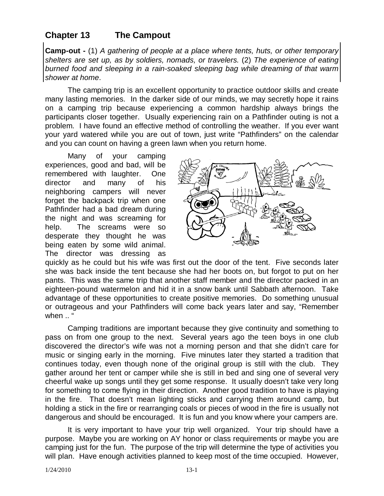## **Chapter 13 The Campout**

**Camp-out -** (1) *A gathering of people at a place where tents, huts, or other temporary shelters are set up, as by soldiers, nomads, or travelers.* (2) *The experience of eating burned food and sleeping in a rain-soaked sleeping bag while dreaming of that warm shower at home*.

The camping trip is an excellent opportunity to practice outdoor skills and create many lasting memories. In the darker side of our minds, we may secretly hope it rains on a camping trip because experiencing a common hardship always brings the participants closer together. Usually experiencing rain on a Pathfinder outing is not a problem. I have found an effective method of controlling the weather. If you ever want your yard watered while you are out of town, just write "Pathfinders" on the calendar and you can count on having a green lawn when you return home.

Many of your camping experiences, good and bad, will be remembered with laughter. One director and many of his neighboring campers will never forget the backpack trip when one Pathfinder had a bad dream during the night and was screaming for help. The screams were so desperate they thought he was being eaten by some wild animal. The director was dressing as



quickly as he could but his wife was first out the door of the tent. Five seconds later she was back inside the tent because she had her boots on, but forgot to put on her pants. This was the same trip that another staff member and the director packed in an eighteen-pound watermelon and hid it in a snow bank until Sabbath afternoon. Take advantage of these opportunities to create positive memories. Do something unusual or outrageous and your Pathfinders will come back years later and say, "Remember when .. "

Camping traditions are important because they give continuity and something to pass on from one group to the next. Several years ago the teen boys in one club discovered the director's wife was not a morning person and that she didn't care for music or singing early in the morning. Five minutes later they started a tradition that continues today, even though none of the original group is still with the club. They gather around her tent or camper while she is still in bed and sing one of several very cheerful wake up songs until they get some response. It usually doesn't take very long for something to come flying in their direction. Another good tradition to have is playing in the fire. That doesn't mean lighting sticks and carrying them around camp, but holding a stick in the fire or rearranging coals or pieces of wood in the fire is usually not dangerous and should be encouraged. It is fun and you know where your campers are.

It is very important to have your trip well organized. Your trip should have a purpose. Maybe you are working on AY honor or class requirements or maybe you are camping just for the fun. The purpose of the trip will determine the type of activities you will plan. Have enough activities planned to keep most of the time occupied. However,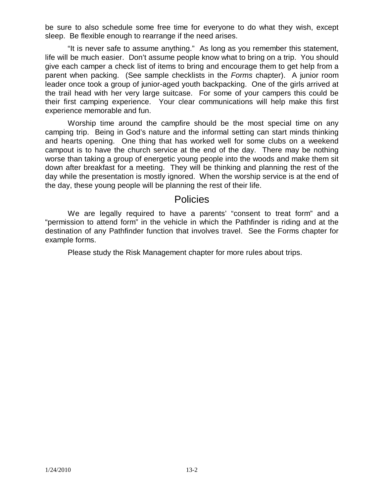be sure to also schedule some free time for everyone to do what they wish, except sleep. Be flexible enough to rearrange if the need arises.

"It is never safe to assume anything." As long as you remember this statement, life will be much easier. Don't assume people know what to bring on a trip. You should give each camper a check list of items to bring and encourage them to get help from a parent when packing. (See sample checklists in the *Forms* chapter). A junior room leader once took a group of junior-aged youth backpacking. One of the girls arrived at the trail head with her very large suitcase. For some of your campers this could be their first camping experience. Your clear communications will help make this first experience memorable and fun.

Worship time around the campfire should be the most special time on any camping trip. Being in God's nature and the informal setting can start minds thinking and hearts opening. One thing that has worked well for some clubs on a weekend campout is to have the church service at the end of the day. There may be nothing worse than taking a group of energetic young people into the woods and make them sit down after breakfast for a meeting. They will be thinking and planning the rest of the day while the presentation is mostly ignored. When the worship service is at the end of the day, these young people will be planning the rest of their life.

## Policies

We are legally required to have a parents' "consent to treat form" and a "permission to attend form" in the vehicle in which the Pathfinder is riding and at the destination of any Pathfinder function that involves travel. See the Forms chapter for example forms.

Please study the Risk Management chapter for more rules about trips.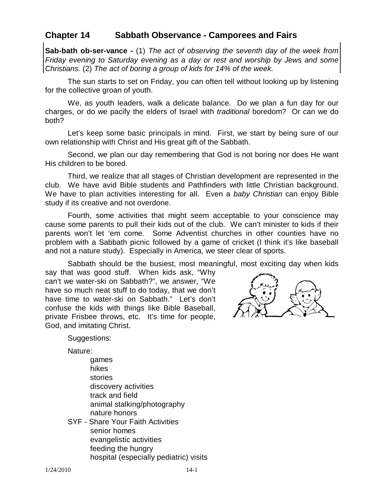### **Chapter 14 Sabbath Observance - Camporees and Fairs**

**Sab-bath ob-ser-vance -** (1) *The act of observing the seventh day of the week from Friday evening to Saturday evening as a day or rest and worship by Jews and some Christians.* (2) *The act of boring a group of kids for 14% of the week.*

The sun starts to set on Friday, you can often tell without looking up by listening for the collective groan of youth.

We, as youth leaders, walk a delicate balance. Do we plan a fun day for our charges, or do we pacify the elders of Israel with *traditional* boredom? Or can we do both?

Let's keep some basic principals in mind. First, we start by being sure of our own relationship with Christ and His great gift of the Sabbath.

Second, we plan our day remembering that God is not boring nor does He want His children to be bored.

Third, we realize that all stages of Christian development are represented in the club. We have avid Bible students and Pathfinders with little Christian background. We have to plan activities interesting for all. Even a *baby Christian* can enjoy Bible study if its creative and not overdone.

Fourth, some activities that might seem acceptable to your conscience may cause some parents to pull their kids out of the club. We can't minister to kids if their parents won't let 'em come. Some Adventist churches in other counties have no problem with a Sabbath picnic followed by a game of cricket (I think it's like baseball and not a nature study). Especially in America, we steer clear of sports.

Sabbath should be the busiest, most meaningful, most exciting day when kids

say that was good stuff. When kids ask, "Why can't we water-ski on Sabbath?", we answer, "We have so much neat stuff to do today, that we don't have time to water-ski on Sabbath." Let's don't confuse the kids with things like Bible Baseball, private Frisbee throws, etc. It's time for people, God, and imitating Christ.



Suggestions:

Nature:

- games hikes stories discovery activities track and field animal stalking/photography nature honors
- SYF Share Your Faith Activities senior homes evangelistic activities feeding the hungry hospital (especially pediatric) visits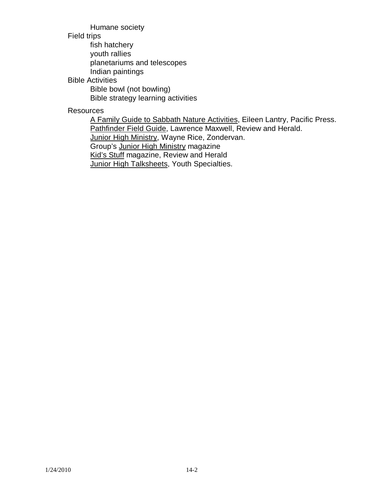Humane society

#### Field trips

fish hatchery

youth rallies

planetariums and telescopes

Indian paintings

### Bible Activities

Bible bowl (not bowling) Bible strategy learning activities

### **Resources**

A Family Guide to Sabbath Nature Activities, Eileen Lantry, Pacific Press. Pathfinder Field Guide, Lawrence Maxwell, Review and Herald. Junior High Ministry, Wayne Rice, Zondervan. Group's Junior High Ministry magazine Kid's Stuff magazine, Review and Herald **Junior High Talksheets, Youth Specialties.**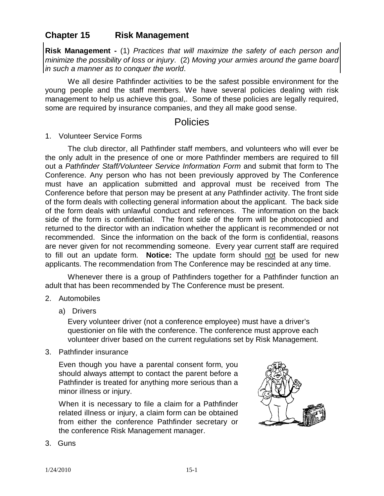## **Chapter 15 Risk Management**

**Risk Management -** (1) *Practices that will maximize the safety of each person and minimize the possibility of loss or injury*. (2) *Moving your armies around the game board in such a manner as to conquer the world*.

We all desire Pathfinder activities to be the safest possible environment for the young people and the staff members. We have several policies dealing with risk management to help us achieve this goal,. Some of these policies are legally required, some are required by insurance companies, and they all make good sense.

## Policies

#### 1. Volunteer Service Forms

The club director, all Pathfinder staff members, and volunteers who will ever be the only adult in the presence of one or more Pathfinder members are required to fill out a *Pathfinder Staff/Volunteer Service Information Form* and submit that form to The Conference. Any person who has not been previously approved by The Conference must have an application submitted and approval must be received from The Conference before that person may be present at any Pathfinder activity. The front side of the form deals with collecting general information about the applicant. The back side of the form deals with unlawful conduct and references. The information on the back side of the form is confidential. The front side of the form will be photocopied and returned to the director with an indication whether the applicant is recommended or not recommended. Since the information on the back of the form is confidential, reasons are never given for not recommending someone. Every year current staff are required to fill out an update form. **Notice:** The update form should not be used for new applicants. The recommendation from The Conference may be rescinded at any time.

Whenever there is a group of Pathfinders together for a Pathfinder function an adult that has been recommended by The Conference must be present.

#### 2. Automobiles

a) Drivers

Every volunteer driver (not a conference employee) must have a driver's questionier on file with the conference. The conference must approve each volunteer driver based on the current regulations set by Risk Management.

3. Pathfinder insurance

Even though you have a parental consent form, you should always attempt to contact the parent before a Pathfinder is treated for anything more serious than a minor illness or injury.

When it is necessary to file a claim for a Pathfinder related illness or injury, a claim form can be obtained from either the conference Pathfinder secretary or the conference Risk Management manager.



3. Guns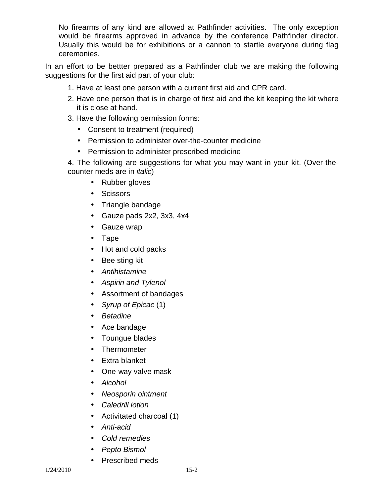No firearms of any kind are allowed at Pathfinder activities. The only exception would be firearms approved in advance by the conference Pathfinder director. Usually this would be for exhibitions or a cannon to startle everyone during flag ceremonies.

In an effort to be bettter prepared as a Pathfinder club we are making the following suggestions for the first aid part of your club:

- 1. Have at least one person with a current first aid and CPR card.
- 2. Have one person that is in charge of first aid and the kit keeping the kit where it is close at hand.
- 3. Have the following permission forms:
	- Consent to treatment (required)
	- Permission to administer over-the-counter medicine
	- Permission to administer prescribed medicine

4. The following are suggestions for what you may want in your kit. (Over-thecounter meds are in *italic*)

- Rubber gloves
- Scissors
- Triangle bandage
- Gauze pads 2x2, 3x3, 4x4
- Gauze wrap
- Tape
- Hot and cold packs
- Bee sting kit
- *Antihistamine*
- *Aspirin and Tylenol*
- Assortment of bandages
- *Syrup of Epicac* (1)
- *Betadine*
- Ace bandage
- Toungue blades
- Thermometer
- Extra blanket
- One-way valve mask
- *Alcohol*
- *Neosporin ointment*
- *Caledrill lotion*
- Activitated charcoal (1)
- *Anti-acid*
- *Cold remedies*
- *Pepto Bismol*
- Prescribed meds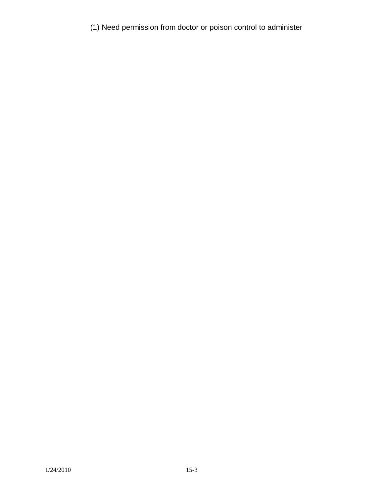(1) Need permission from doctor or poison control to administer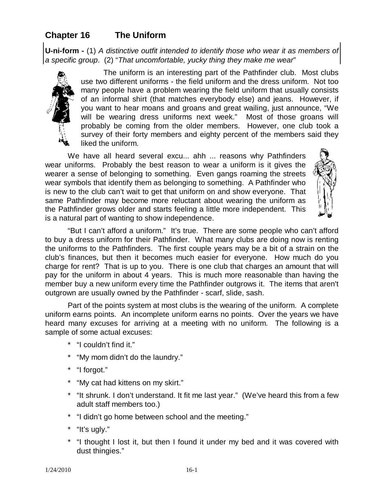# **Chapter 16 The Uniform**

**U-ni-form -** (1) *A distinctive outfit intended to identify those who wear it as members of a specific group*. (2) "*That uncomfortable, yucky thing they make me wear*"



The uniform is an interesting part of the Pathfinder club. Most clubs use two different uniforms - the field uniform and the dress uniform. Not too many people have a problem wearing the field uniform that usually consists of an informal shirt (that matches everybody else) and jeans. However, if you want to hear moans and groans and great wailing, just announce, "We will be wearing dress uniforms next week." Most of those groans will probably be coming from the older members. However, one club took a survey of their forty members and eighty percent of the members said they liked the uniform.

We have all heard several excu... ahh ... reasons why Pathfinders wear uniforms. Probably the best reason to wear a uniform is it gives the wearer a sense of belonging to something. Even gangs roaming the streets wear symbols that identify them as belonging to something. A Pathfinder who is new to the club can't wait to get that uniform on and show everyone. That same Pathfinder may become more reluctant about wearing the uniform as the Pathfinder grows older and starts feeling a little more independent. This is a natural part of wanting to show independence.



"But I can't afford a uniform." It's true. There are some people who can't afford to buy a dress uniform for their Pathfinder. What many clubs are doing now is renting the uniforms to the Pathfinders. The first couple years may be a bit of a strain on the club's finances, but then it becomes much easier for everyone. How much do you charge for rent? That is up to you. There is one club that charges an amount that will pay for the uniform in about 4 years. This is much more reasonable than having the member buy a new uniform every time the Pathfinder outgrows it. The items that aren't outgrown are usually owned by the Pathfinder - scarf, slide, sash.

Part of the points system at most clubs is the wearing of the uniform. A complete uniform earns points. An incomplete uniform earns no points. Over the years we have heard many excuses for arriving at a meeting with no uniform. The following is a sample of some actual excuses:

- \* "I couldn't find it."
- \* "My mom didn't do the laundry."
- \* "I forgot."
- \* "My cat had kittens on my skirt."
- \* "It shrunk. I don't understand. It fit me last year." (We've heard this from a few adult staff members too.)
- \* "I didn't go home between school and the meeting."
- \* "It's ugly."
- \* "I thought I lost it, but then I found it under my bed and it was covered with dust thingies."

 $1/24/2010$  16-1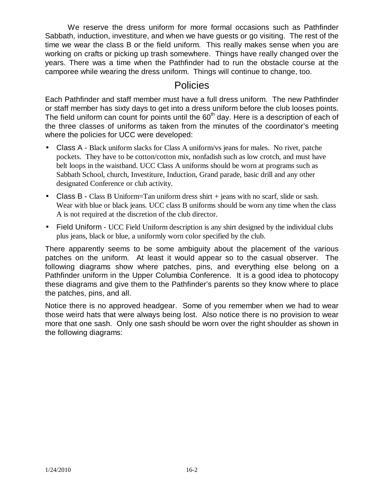We reserve the dress uniform for more formal occasions such as Pathfinder Sabbath, induction, investiture, and when we have guests or go visiting. The rest of the time we wear the class B or the field uniform. This really makes sense when you are working on crafts or picking up trash somewhere. Things have really changed over the years. There was a time when the Pathfinder had to run the obstacle course at the camporee while wearing the dress uniform. Things will continue to change, too.

# **Policies**

Each Pathfinder and staff member must have a full dress uniform. The new Pathfinder or staff member has sixty days to get into a dress uniform before the club looses points. The field uniform can count for points until the  $60<sup>th</sup>$  day. Here is a description of each of the three classes of uniforms as taken from the minutes of the coordinator's meeting where the policies for UCC were developed:

- Class A Black uniform slacks for Class A uniform/vs jeans for males. No rivet, patche pockets. They have to be cotton/cotton mix, nonfadish such as low crotch, and must have belt loops in the waistband. UCC Class A uniforms should be worn at programs such as Sabbath School, church, Investiture, Induction, Grand parade, basic drill and any other designated Conference or club activity.
- Class B Class B Uniform=Tan uniform dress shirt + jeans with no scarf, slide or sash. Wear with blue or black jeans. UCC class B uniforms should be worn any time when the class A is not required at the discretion of the club director.
- Field Uniform UCC Field Uniform description is any shirt designed by the individual clubs plus jeans, black or blue, a uniformly worn color specified by the club.

There apparently seems to be some ambiguity about the placement of the various patches on the uniform. At least it would appear so to the casual observer. The following diagrams show where patches, pins, and everything else belong on a Pathfinder uniform in the Upper Columbia Conference. It is a good idea to photocopy these diagrams and give them to the Pathfinder's parents so they know where to place the patches, pins, and all.

Notice there is no approved headgear. Some of you remember when we had to wear those weird hats that were always being lost. Also notice there is no provision to wear more that one sash. Only one sash should be worn over the right shoulder as shown in the following diagrams: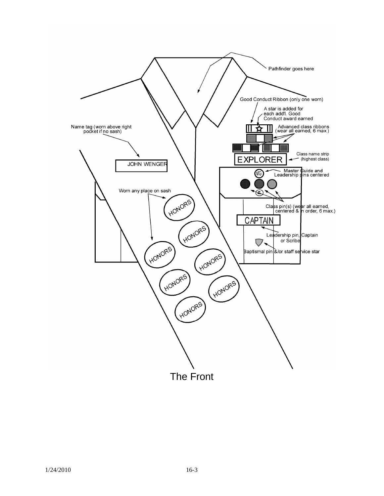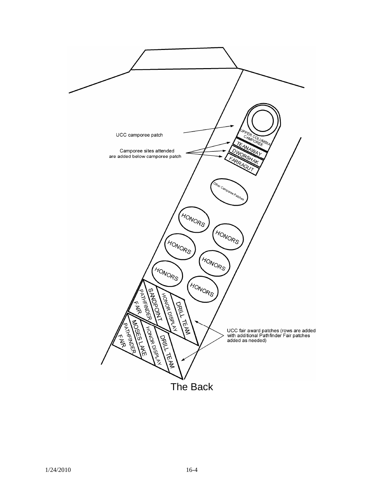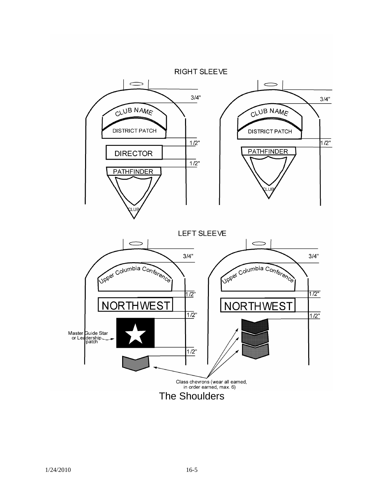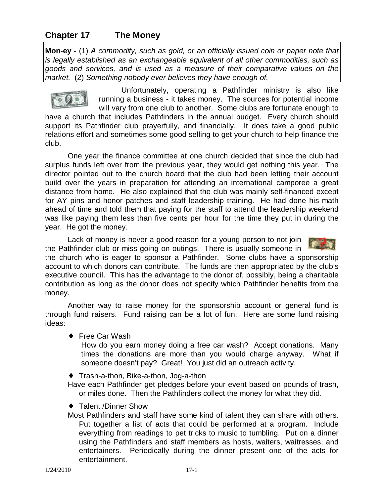## **Chapter 17 The Money**

**Mon-ey -** (1) *A commodity, such as gold, or an officially issued coin or paper note that is legally established as an exchangeable equivalent of all other commodities, such as goods and services, and is used as a measure of their comparative values on the market.* (2) *Something nobody ever believes they have enough of.*



Unfortunately, operating a Pathfinder ministry is also like running a business - it takes money. The sources for potential income will vary from one club to another. Some clubs are fortunate enough to

have a church that includes Pathfinders in the annual budget. Every church should support its Pathfinder club prayerfully, and financially. It does take a good public relations effort and sometimes some good selling to get your church to help finance the club.

One year the finance committee at one church decided that since the club had surplus funds left over from the previous year, they would get nothing this year. The director pointed out to the church board that the club had been letting their account build over the years in preparation for attending an international camporee a great distance from home. He also explained that the club was mainly self-financed except for AY pins and honor patches and staff leadership training. He had done his math ahead of time and told them that paying for the staff to attend the leadership weekend was like paying them less than five cents per hour for the time they put in during the year. He got the money.

Lack of money is never a good reason for a young person to not join the Pathfinder club or miss going on outings. There is usually someone in



the church who is eager to sponsor a Pathfinder. Some clubs have a sponsorship account to which donors can contribute. The funds are then appropriated by the club's executive council. This has the advantage to the donor of, possibly, being a charitable contribution as long as the donor does not specify which Pathfinder benefits from the money.

Another way to raise money for the sponsorship account or general fund is through fund raisers. Fund raising can be a lot of fun. Here are some fund raising ideas:

♦ Free Car Wash

How do you earn money doing a free car wash? Accept donations. Many times the donations are more than you would charge anyway. What if someone doesn't pay? Great! You just did an outreach activity.

♦ Trash-a-thon, Bike-a-thon, Jog-a-thon

Have each Pathfinder get pledges before your event based on pounds of trash, or miles done. Then the Pathfinders collect the money for what they did.

- ♦ Talent /Dinner Show
- Most Pathfinders and staff have some kind of talent they can share with others. Put together a list of acts that could be performed at a program. Include everything from readings to pet tricks to music to tumbling. Put on a dinner using the Pathfinders and staff members as hosts, waiters, waitresses, and entertainers. Periodically during the dinner present one of the acts for entertainment.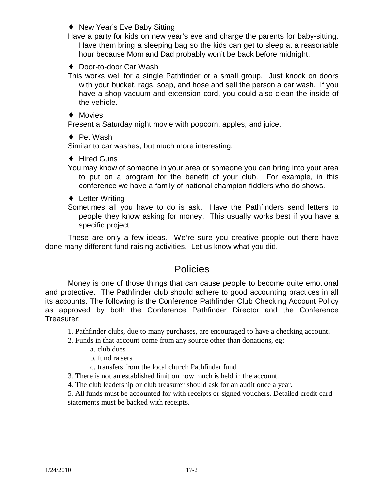♦ New Year's Eve Baby Sitting

Have a party for kids on new year's eve and charge the parents for baby-sitting. Have them bring a sleeping bag so the kids can get to sleep at a reasonable hour because Mom and Dad probably won't be back before midnight.

♦ Door-to-door Car Wash

This works well for a single Pathfinder or a small group. Just knock on doors with your bucket, rags, soap, and hose and sell the person a car wash. If you have a shop vacuum and extension cord, you could also clean the inside of the vehicle.

♦ Movies

Present a Saturday night movie with popcorn, apples, and juice.

◆ Pet Wash

Similar to car washes, but much more interesting.

♦ Hired Guns

You may know of someone in your area or someone you can bring into your area to put on a program for the benefit of your club. For example, in this conference we have a family of national champion fiddlers who do shows.

- ♦ Letter Writing
- Sometimes all you have to do is ask. Have the Pathfinders send letters to people they know asking for money. This usually works best if you have a specific project.

These are only a few ideas. We're sure you creative people out there have done many different fund raising activities. Let us know what you did.

## Policies

Money is one of those things that can cause people to become quite emotional and protective. The Pathfinder club should adhere to good accounting practices in all its accounts. The following is the Conference Pathfinder Club Checking Account Policy as approved by both the Conference Pathfinder Director and the Conference Treasurer:

1. Pathfinder clubs, due to many purchases, are encouraged to have a checking account.

- 2. Funds in that account come from any source other than donations, eg:
	- a. club dues
	- b. fund raisers
	- c. transfers from the local church Pathfinder fund
- 3. There is not an established limit on how much is held in the account.
- 4. The club leadership or club treasurer should ask for an audit once a year.

5. All funds must be accounted for with receipts or signed vouchers. Detailed credit card statements must be backed with receipts.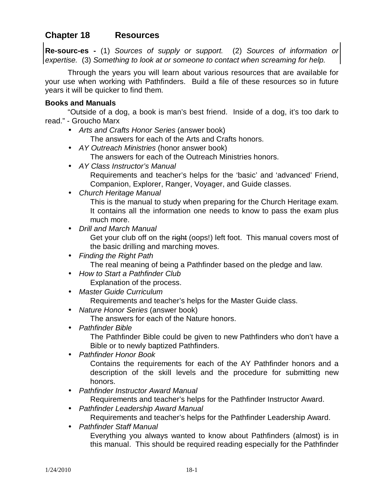## **Chapter 18 Resources**

**Re-sourc-es -** (1) *Sources of supply or support.* (2) *Sources of information or expertise.* (3) *Something to look at or someone to contact when screaming for help.*

Through the years you will learn about various resources that are available for your use when working with Pathfinders. Build a file of these resources so in future years it will be quicker to find them.

#### **Books and Manuals**

"Outside of a dog, a book is man's best friend. Inside of a dog, it's too dark to read." - Groucho Marx

• *Arts and Crafts Honor Series* (answer book)

The answers for each of the Arts and Crafts honors.

- *AY Outreach Ministries* (honor answer book) The answers for each of the Outreach Ministries honors.
- *AY Class Instructor's Manual*  Requirements and teacher's helps for the 'basic' and 'advanced' Friend, Companion, Explorer, Ranger, Voyager, and Guide classes.
- *Church Heritage Manual* This is the manual to study when preparing for the Church Heritage exam. It contains all the information one needs to know to pass the exam plus much more.
- *Drill and March Manual*  Get your club off on the right (oops!) left foot. This manual covers most of the basic drilling and marching moves.
- *Finding the Right Path*  The real meaning of being a Pathfinder based on the pledge and law.
- *How to Start a Pathfinder Club*

Explanation of the process.

• *Master Guide Curriculum* 

Requirements and teacher's helps for the Master Guide class.

• *Nature Honor Series* (answer book)

The answers for each of the Nature honors.

• *Pathfinder Bible* 

The Pathfinder Bible could be given to new Pathfinders who don't have a Bible or to newly baptized Pathfinders.

• *Pathfinder Honor Book*

Contains the requirements for each of the AY Pathfinder honors and a description of the skill levels and the procedure for submitting new honors.

• *Pathfinder Instructor Award Manual* 

Requirements and teacher's helps for the Pathfinder Instructor Award.

• *Pathfinder Leadership Award Manual* 

Requirements and teacher's helps for the Pathfinder Leadership Award.

• *Pathfinder Staff Manual* 

Everything you always wanted to know about Pathfinders (almost) is in this manual. This should be required reading especially for the Pathfinder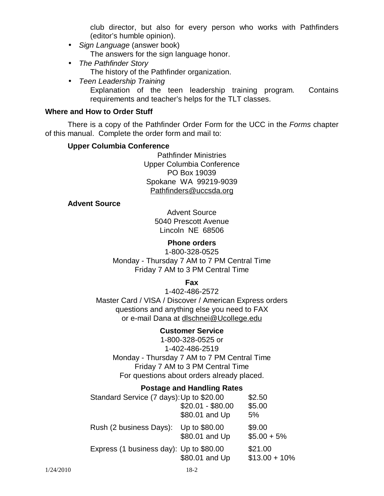club director, but also for every person who works with Pathfinders (editor's humble opinion).

- *Sign Language* (answer book) The answers for the sign language honor.
- *The Pathfinder Story*  The history of the Pathfinder organization.
- *Teen Leadership Training* 
	- Explanation of the teen leadership training program. Contains requirements and teacher's helps for the TLT classes.

#### **Where and How to Order Stuff**

There is a copy of the Pathfinder Order Form for the UCC in the *Forms* chapter of this manual. Complete the order form and mail to:

#### **Upper Columbia Conference**

Pathfinder Ministries Upper Columbia Conference PO Box 19039 Spokane WA 99219-9039 [Pathfinders@uccsda.org](mailto:Pathfinders@uccsda.org)

#### **Advent Source**

Advent Source 5040 Prescott Avenue Lincoln NE 68506

#### **Phone orders**

1-800-328-0525 Monday - Thursday 7 AM to 7 PM Central Time Friday 7 AM to 3 PM Central Time

**Fax**

1-402-486-2572 Master Card / VISA / Discover / American Express orders questions and anything else you need to FAX or e-mail Dana at [dlschnei@Ucollege.edu](mailto:dlschnei@Ucollege.edu)

#### **Customer Service**

1-800-328-0525 or 1-402-486-2519 Monday - Thursday 7 AM to 7 PM Central Time Friday 7 AM to 3 PM Central Time For questions about orders already placed.

#### **Postage and Handling Rates**

| Standard Service (7 days): Up to \$20.00<br>\$2.50 |                                 |                            |
|----------------------------------------------------|---------------------------------|----------------------------|
|                                                    | $$20.01 - $80.00$               | \$5.00                     |
|                                                    | \$80.01 and Up                  | 5%                         |
| Rush (2 business Days):                            | Up to \$80.00<br>\$80.01 and Up | \$9.00<br>$$5.00 + 5\%$    |
| Express (1 business day): Up to \$80.00            | \$80.01 and Up                  | \$21.00<br>$$13.00 + 10\%$ |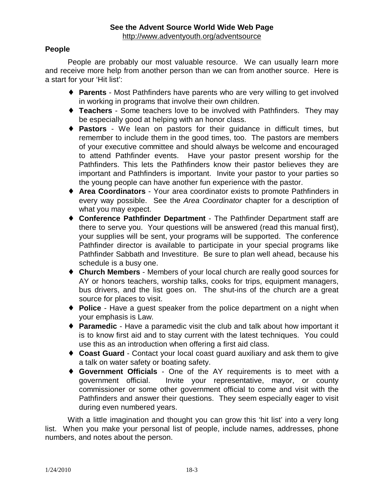### **People**

People are probably our most valuable resource. We can usually learn more and receive more help from another person than we can from another source. Here is a start for your 'Hit list':

- ♦ **Parents** Most Pathfinders have parents who are very willing to get involved in working in programs that involve their own children.
- ♦ **Teachers** Some teachers love to be involved with Pathfinders. They may be especially good at helping with an honor class.
- ♦ **Pastors** We lean on pastors for their guidance in difficult times, but remember to include them in the good times, too. The pastors are members of your executive committee and should always be welcome and encouraged to attend Pathfinder events. Have your pastor present worship for the Pathfinders. This lets the Pathfinders know their pastor believes they are important and Pathfinders is important. Invite your pastor to your parties so the young people can have another fun experience with the pastor.
- ♦ **Area Coordinators** Your area coordinator exists to promote Pathfinders in every way possible. See the *Area Coordinator* chapter for a description of what you may expect.
- ♦ **Conference Pathfinder Department** The Pathfinder Department staff are there to serve you. Your questions will be answered (read this manual first), your supplies will be sent, your programs will be supported. The conference Pathfinder director is available to participate in your special programs like Pathfinder Sabbath and Investiture. Be sure to plan well ahead, because his schedule is a busy one.
- ♦ **Church Members** Members of your local church are really good sources for AY or honors teachers, worship talks, cooks for trips, equipment managers, bus drivers, and the list goes on. The shut-ins of the church are a great source for places to visit.
- ♦ **Police** Have a guest speaker from the police department on a night when your emphasis is Law.
- ♦ **Paramedic** Have a paramedic visit the club and talk about how important it is to know first aid and to stay current with the latest techniques. You could use this as an introduction when offering a first aid class.
- ♦ **Coast Guard** Contact your local coast guard auxiliary and ask them to give a talk on water safety or boating safety.
- ♦ **Government Officials** One of the AY requirements is to meet with a government official. Invite your representative, mayor, or county commissioner or some other government official to come and visit with the Pathfinders and answer their questions. They seem especially eager to visit during even numbered years.

With a little imagination and thought you can grow this 'hit list' into a very long list. When you make your personal list of people, include names, addresses, phone numbers, and notes about the person.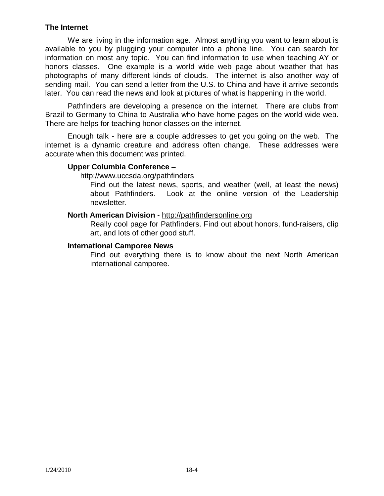#### **The Internet**

We are living in the information age. Almost anything you want to learn about is available to you by plugging your computer into a phone line. You can search for information on most any topic. You can find information to use when teaching AY or honors classes. One example is a world wide web page about weather that has photographs of many different kinds of clouds. The internet is also another way of sending mail. You can send a letter from the U.S. to China and have it arrive seconds later. You can read the news and look at pictures of what is happening in the world.

Pathfinders are developing a presence on the internet. There are clubs from Brazil to Germany to China to Australia who have home pages on the world wide web. There are helps for teaching honor classes on the internet.

Enough talk - here are a couple addresses to get you going on the web. The internet is a dynamic creature and address often change. These addresses were accurate when this document was printed.

#### **Upper Columbia Conference** –

#### <http://www.uccsda.org/pathfinders>

Find out the latest news, sports, and weather (well, at least the news) about Pathfinders. Look at the online version of the Leadership newsletter.

#### **North American Division** -<http://pathfindersonline.org>

Really cool page for Pathfinders. Find out about honors, fund-raisers, clip art, and lots of other good stuff.

#### **International Camporee News**

Find out everything there is to know about the next North American international camporee.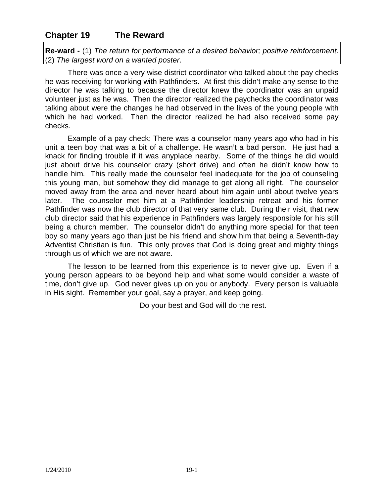## **Chapter 19 The Reward**

**Re-ward -** (1) *The return for performance of a desired behavior; positive reinforcement*. (2) *The largest word on a wanted poster*.

There was once a very wise district coordinator who talked about the pay checks he was receiving for working with Pathfinders. At first this didn't make any sense to the director he was talking to because the director knew the coordinator was an unpaid volunteer just as he was. Then the director realized the paychecks the coordinator was talking about were the changes he had observed in the lives of the young people with which he had worked. Then the director realized he had also received some pay checks.

Example of a pay check: There was a counselor many years ago who had in his unit a teen boy that was a bit of a challenge. He wasn't a bad person. He just had a knack for finding trouble if it was anyplace nearby. Some of the things he did would just about drive his counselor crazy (short drive) and often he didn't know how to handle him. This really made the counselor feel inadequate for the job of counseling this young man, but somehow they did manage to get along all right. The counselor moved away from the area and never heard about him again until about twelve years later. The counselor met him at a Pathfinder leadership retreat and his former Pathfinder was now the club director of that very same club. During their visit, that new club director said that his experience in Pathfinders was largely responsible for his still being a church member. The counselor didn't do anything more special for that teen boy so many years ago than just be his friend and show him that being a Seventh-day Adventist Christian is fun. This only proves that God is doing great and mighty things through us of which we are not aware.

The lesson to be learned from this experience is to never give up. Even if a young person appears to be beyond help and what some would consider a waste of time, don't give up. God never gives up on you or anybody. Every person is valuable in His sight. Remember your goal, say a prayer, and keep going.

Do your best and God will do the rest.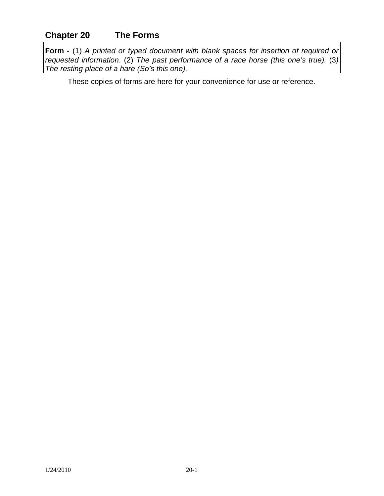# **Chapter 20 The Forms**

**Form -** (1) *A printed or typed document with blank spaces for insertion of required or requested information*. (2) *The past performance of a race horse (this one's true).* (3*) The resting place of a hare (So's this one).*

These copies of forms are here for your convenience for use or reference.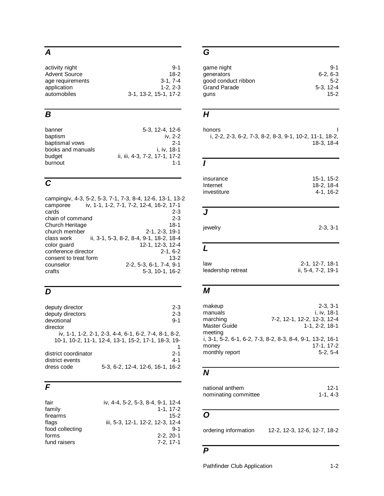# *A*

| activity night       | $9 - 1$               |
|----------------------|-----------------------|
| <b>Advent Source</b> | 18-2                  |
| age requirements     | $3-1.7-4$             |
| application          | $1-2.2-3$             |
| automobiles          | 3-1, 13-2, 15-1, 17-2 |

# *B*

| banner            | 5-3, 12-4, 12-6               |
|-------------------|-------------------------------|
| baptism           | iv. 2-2                       |
| baptismal vows    | $2 - 1$                       |
| books and manuals | i. iv. 18-1                   |
| budget            | ii, iii, 4-3, 7-2, 17-1, 17-2 |
| burnout           | $1 - 1$                       |

# *C*

| campingiv, 4-3, 5-2, 5-3, 7-1, 7-3, 8-4, 12-6, 13-1, 13-2 |                                          |
|-----------------------------------------------------------|------------------------------------------|
| camporee                                                  | iv, 1-1, 1-2, 7-1, 7-2, 12-4, 16-2, 17-1 |
| cards                                                     | $2 - 3$                                  |
| chain of command                                          | $2 - 3$                                  |
| <b>Church Heritage</b>                                    | $18 - 1$                                 |
| church member                                             | 2-1, 2-3, 19-1                           |
| class work                                                | ii, 3-1, 5-3, 8-2, 8-4, 9-1, 18-2, 18-4  |
| color guard                                               | 12-1, 12-3, 12-4                         |
| conference director                                       | $2-1, 6-2$                               |
| consent to treat form                                     | $13-2$                                   |
| counselor                                                 | 2-2, 5-3, 6-1, 7-4, 9-1                  |
| crafts                                                    | 5-3, 10-1, 16-2                          |
|                                                           |                                          |

# *D*

| deputy director      | $2 - 3$                                               |
|----------------------|-------------------------------------------------------|
| deputy directors     | $2 - 3$                                               |
| devotional           | $9 - 1$                                               |
| director             |                                                       |
|                      | iv, 1-1, 1-2, 2-1, 2-3, 4-4, 6-1, 6-2, 7-4, 8-1, 8-2, |
|                      | 10-1, 10-2, 11-1, 12-4, 13-1, 15-2, 17-1, 18-3, 19-   |
|                      |                                                       |
| district coordinator | $2 - 1$                                               |
| district events      | $4 - 1$                                               |
| dress code           | 5-3, 6-2, 12-4, 12-6, 16-1, 16-2                      |

## *F*

| fair            | iv, 4-4, 5-2, 5-3, 8-4, 9-1, 12-4 |
|-----------------|-----------------------------------|
| family          | $1 - 1.17 - 2$                    |
| firearms        | $15-2$                            |
| flags           | iii, 5-3, 12-1, 12-2, 12-3, 12-4  |
| food collecting | $9 - 1$                           |
| forms           | $2 - 2, 20 - 1$                   |
| fund raisers    | $7-2.17-1$                        |

# *G*

| game night          | $9 - 1$    |
|---------------------|------------|
| generators          | $6-2, 6-3$ |
| good conduct ribbon | $5-2$      |
| <b>Grand Parade</b> | $5-3.12-4$ |
| quns                | 15-2       |

# *H*

| honors                                                  |            |
|---------------------------------------------------------|------------|
| i, 2-2, 2-3, 6-2, 7-3, 8-2, 8-3, 9-1, 10-2, 11-1, 18-2, |            |
|                                                         | 18-3, 18-4 |
|                                                         |            |

#### *I*

| insurance   | 15-1.15-2 |
|-------------|-----------|
| Internet    | 18-2.18-4 |
| investiture | 4-1.16-2  |
|             |           |

# *J*

| jewelry | $2-3, 3-1$ |
|---------|------------|
|         |            |

#### *L*

| law                | 2-1, 12-7, 18-1    |
|--------------------|--------------------|
| leadership retreat | ii, 5-4, 7-2, 19-1 |
|                    |                    |

# *M*

| makeup         | $2 - 3.3 - 1$                                              |
|----------------|------------------------------------------------------------|
| manuals        | i. iv. 18-1                                                |
| marching       | 7-2, 12-1, 12-2, 12-3, 12-4                                |
| Master Guide   | $1 - 1.2 - 2.18 - 1$                                       |
| meeting        |                                                            |
|                | i, 3-1, 5-2, 6-1, 6-2, 7-3, 8-2, 8-3, 8-4, 9-1, 13-2, 16-1 |
| money          | 17-1, 17-2                                                 |
| monthly report | $5-2, 5-4$                                                 |

# *N*

| national anthem      | 12-1    |
|----------------------|---------|
| nominating committee | 1-1.4-3 |

# *O*

ordering information 12-2, 12-3, 12-6, 12-7, 18-2

# *P*

Pathfinder Club Application 1-2